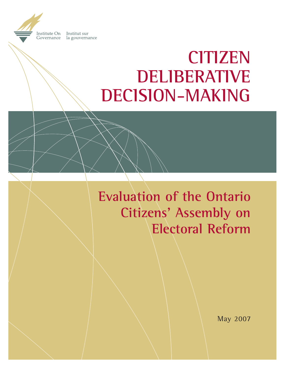**Institute On** Institut sur la gouvernance Governance

# **CITIZEN DELIBERATIVE DECISION-MAKING**

**Evaluation of the Ontario Citizens' Assembly on Electoral Reform**

May 2007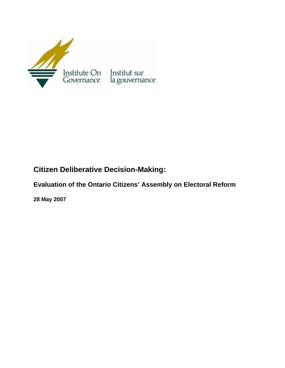

# **Citizen Deliberative Decision-Making:**

**Evaluation of the Ontario Citizens' Assembly on Electoral Reform** 

**28 May 2007**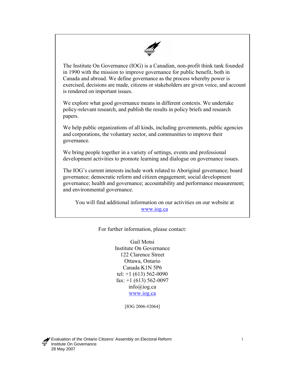

The Institute On Governance (IOG) is a Canadian, non-profit think tank founded in 1990 with the mission to improve governance for public benefit, both in Canada and abroad. We define governance as the process whereby power is exercised, decisions are made, citizens or stakeholders are given voice, and account is rendered on important issues.

We explore what good governance means in different contexts. We undertake policy-relevant research, and publish the results in policy briefs and research papers.

We help public organizations of all kinds, including governments, public agencies and corporations, the voluntary sector, and communities to improve their governance.

We bring people together in a variety of settings, events and professional development activities to promote learning and dialogue on governance issues.

and environmental governance. The IOG's current interests include work related to Aboriginal governance; board governance; democratic reform and citizen engagement; social development governance; health and governance; accountability and performance measurement;

You will find additional information on our activities on our website at [www.iog.ca](http://www.iog.ca/)

For further information, please contact:

Gail Motsi Institute On Governance 122 Clarence Street Ottawa, Ontario Canada K1N 5P6 tel: +1 (613) 562-0090 fax:  $+1$  (613) 562-0097 info@iog.ca [www.iog.ca](http://www.iog.ca/)

[IOG 2006-#2064]

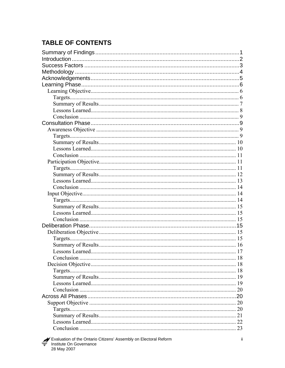# **TABLE OF CONTENTS**

| 20 |  |
|----|--|
|    |  |
|    |  |
|    |  |
|    |  |
|    |  |
|    |  |
|    |  |
|    |  |
|    |  |
|    |  |
|    |  |
|    |  |
|    |  |
|    |  |
|    |  |
|    |  |
|    |  |
|    |  |
|    |  |
|    |  |
|    |  |
|    |  |
|    |  |
|    |  |
|    |  |
|    |  |
|    |  |
|    |  |
|    |  |
|    |  |
|    |  |
|    |  |
|    |  |
|    |  |
|    |  |
|    |  |
|    |  |
|    |  |
|    |  |
|    |  |
|    |  |
|    |  |
| 23 |  |

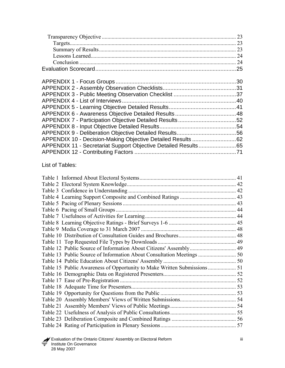| 23 |
|----|
|    |
|    |
|    |
|    |
|    |
|    |
|    |
|    |
|    |
|    |
|    |
|    |
|    |
|    |
|    |
|    |
|    |
|    |
|    |

List of Tables:

| 41 |
|----|
|    |
|    |
|    |
|    |
|    |
|    |
|    |
|    |
|    |
|    |
|    |
|    |
|    |
|    |
|    |
|    |
|    |
|    |
|    |
|    |
|    |
|    |
|    |
|    |

**Evaluation of the Ontario Citizens' Assembly on Electoral Reform** in the United States of the Ontario Citizens' Assembly on Electoral Reform <del>■</del> Institute On Governance 28 May 2007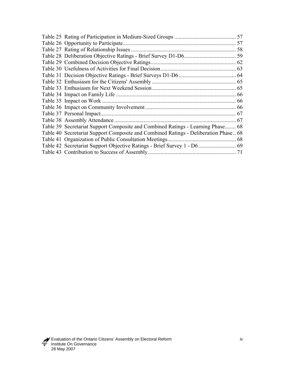|                                                                                     | 57 |
|-------------------------------------------------------------------------------------|----|
|                                                                                     | 58 |
|                                                                                     |    |
|                                                                                     |    |
|                                                                                     |    |
|                                                                                     |    |
|                                                                                     |    |
|                                                                                     |    |
|                                                                                     | 66 |
|                                                                                     | 66 |
|                                                                                     |    |
|                                                                                     |    |
|                                                                                     |    |
| Table 39 Secretariat Support Composite and Combined Ratings - Learning Phase 68     |    |
| Table 40 Secretariat Support Composite and Combined Ratings - Deliberation Phase 68 |    |
|                                                                                     |    |
|                                                                                     |    |
|                                                                                     |    |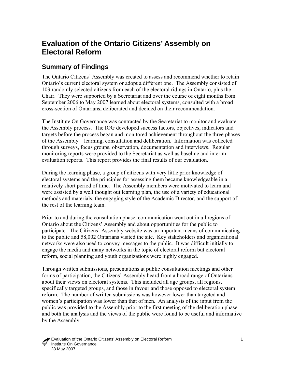# <span id="page-7-0"></span>**Evaluation of the Ontario Citizens' Assembly on Electoral Reform**

# **Summary of Findings**

The Ontario Citizens' Assembly was created to assess and recommend whether to retain Ontario's current electoral system or adopt a different one. The Assembly consisted of 103 randomly selected citizens from each of the electoral ridings in Ontario, plus the Chair. They were supported by a Secretariat and over the course of eight months from September 2006 to May 2007 learned about electoral systems, consulted with a broad cross-section of Ontarians, deliberated and decided on their recommendation.

The Institute On Governance was contracted by the Secretariat to monitor and evaluate the Assembly process. The IOG developed success factors, objectives, indicators and targets before the process began and monitored achievement throughout the three phases of the Assembly – learning, consultation and deliberation. Information was collected through surveys, focus groups, observation, documentation and interviews. Regular monitoring reports were provided to the Secretariat as well as baseline and interim evaluation reports. This report provides the final results of our evaluation.

During the learning phase, a group of citizens with very little prior knowledge of electoral systems and the principles for assessing them became knowledgeable in a relatively short period of time. The Assembly members were motivated to learn and were assisted by a well thought out learning plan, the use of a variety of educational methods and materials, the engaging style of the Academic Director, and the support of the rest of the learning team.

Prior to and during the consultation phase, communication went out in all regions of Ontario about the Citizens' Assembly and about opportunities for the public to participate. The Citizens' Assembly website was an important means of communicating to the public and 58,002 Ontarians visited the site. Key stakeholders and organizational networks were also used to convey messages to the public. It was difficult initially to engage the media and many networks in the topic of electoral reform but electoral reform, social planning and youth organizations were highly engaged.

Through written submissions, presentations at public consultation meetings and other forms of participation, the Citizens' Assembly heard from a broad range of Ontarians about their views on electoral systems. This included all age groups, all regions, specifically targeted groups, and those in favour and those opposed to electoral system reform. The number of written submissions was however lower than targeted and women's participation was lower than that of men. An analysis of the input from the public was provided to the Assembly prior to the first meeting of the deliberation phase and both the analysis and the views of the public were found to be useful and informative by the Assembly.

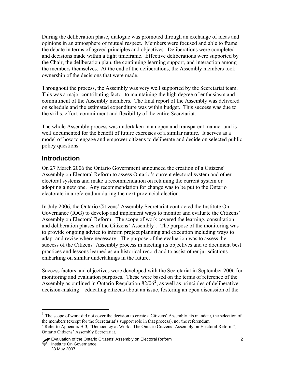<span id="page-8-0"></span>During the deliberation phase, dialogue was promoted through an exchange of ideas and opinions in an atmosphere of mutual respect. Members were focused and able to frame the debate in terms of agreed principles and objectives. Deliberations were completed and decisions made within a tight timeframe. Effective deliberations were supported by the Chair, the deliberation plan, the continuing learning support, and interaction among the members themselves. At the end of the deliberations, the Assembly members took ownership of the decisions that were made.

Throughout the process, the Assembly was very well supported by the Secretariat team. This was a major contributing factor to maintaining the high degree of enthusiasm and commitment of the Assembly members. The final report of the Assembly was delivered on schedule and the estimated expenditure was within budget. This success was due to the skills, effort, commitment and flexibility of the entire Secretariat.

The whole Assembly process was undertaken in an open and transparent manner and is well documented for the benefit of future exercises of a similar nature. It serves as a model of how to engage and empower citizens to deliberate and decide on selected public policy questions.

# **Introduction**

 $\overline{a}$ 

On 27 March 2006 the Ontario Government announced the creation of a Citizens' Assembly on Electoral Reform to assess Ontario's current electoral system and other electoral systems and make a recommendation on retaining the current system or adopting a new one. Any recommendation for change was to be put to the Ontario electorate in a referendum during the next provincial election.

In July 2006, the Ontario Citizens' Assembly Secretariat contracted the Institute On Governance (IOG) to develop and implement ways to monitor and evaluate the Citizens' Assembly on Electoral Reform. The scope of work covered the learning, consultation and deliberation phases of the Citizens' Assembly<sup>[1](#page-8-1)</sup>. The purpose of the monitoring was to provide ongoing advice to inform project planning and execution including ways to adapt and revise where necessary. The purpose of the evaluation was to assess the success of the Citizens' Assembly process in meeting its objectives and to document best practices and lessons learned as an historical record and to assist other jurisdictions embarking on similar undertakings in the future.

Success factors and objectives were developed with the Secretariat in September 2006 for monitoring and evaluation purposes. These were based on the terms of reference of the Assembly as outlined in Ontario Regulation  $82/06^2$  $82/06^2$  $82/06^2$ , as well as principles of deliberative decision-making – educating citizens about an issue, fostering an open discussion of the

<span id="page-8-1"></span><sup>&</sup>lt;sup>1</sup> The scope of work did not cover the decision to create a Citizens' Assembly, its mandate, the selection of the members (except for the Secretariat's support role in that process), nor the referendum.

<span id="page-8-2"></span><sup>&</sup>lt;sup>2</sup> Refer to Appendix B-3, "Democracy at Work: The Ontario Citizens' Assembly on Electoral Reform", Ontario Citizens' Assembly Secretariat.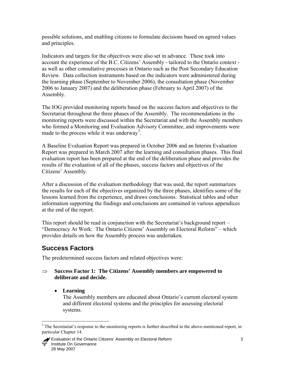<span id="page-9-0"></span>possible solutions, and enabling citizens to formulate decisions based on agreed values and principles.

Indicators and targets for the objectives were also set in advance. These took into account the experience of the B.C. Citizens' Assembly - tailored to the Ontario context as well as other consultative processes in Ontario such as the Post Secondary Education Review. Data collection instruments based on the indicators were administered during the learning phase (September to November 2006), the consultation phase (November 2006 to January 2007) and the deliberation phase (February to April 2007) of the Assembly.

The IOG provided monitoring reports based on the success factors and objectives to the Secretariat throughout the three phases of the Assembly. The recommendations in the monitoring reports were discussed within the Secretariat and with the Assembly members who formed a Monitoring and Evaluation Advisory Committee, and improvements were made to the process while it was underway<sup>[3](#page-9-1)</sup>.

A Baseline Evaluation Report was prepared in October 2006 and an Interim Evaluation Report was prepared in March 2007 after the learning and consultation phases. This final evaluation report has been prepared at the end of the deliberation phase and provides the results of the evaluation of all of the phases, success factors and objectives of the Citizens' Assembly.

After a discussion of the evaluation methodology that was used, the report summarizes the results for each of the objectives organized by the three phases, identifies some of the lessons learned from the experience, and draws conclusions. Statistical tables and other information supporting the findings and conclusions are contained in various appendices at the end of the report.

This report should be read in conjunction with the Secretariat's background report – "Democracy At Work: The Ontario Citizens' Assembly on Electoral Reform" – which provides details on how the Assembly process was undertaken.

# **Success Factors**

The predetermined success factors and related objectives were:

#### ⇒ **Success Factor 1: The Citizens' Assembly members are empowered to deliberate and decide.**

• **Learning**

 $\overline{a}$ 

The Assembly members are educated about Ontario's current electoral system and different electoral systems and the principles for assessing electoral systems.

<span id="page-9-1"></span><sup>&</sup>lt;sup>3</sup> The Secretariat's response to the monitoring reports is further described in the above-mentioned report, in particular Chapter 14.

Evaluation of the Ontario Citizens' Assembly on Electoral Reform 3 Institute On Governance 28 May 2007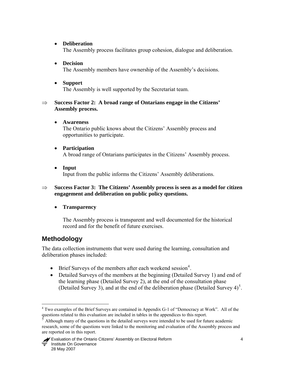#### <span id="page-10-0"></span>• **Deliberation**

The Assembly process facilitates group cohesion, dialogue and deliberation.

#### • **Decision**  The Assembly members have ownership of the Assembly's decisions.

- 
- **Support** The Assembly is well supported by the Secretariat team.

#### ⇒ **Success Factor 2: A broad range of Ontarians engage in the Citizens' Assembly process.**

- **Awareness**  The Ontario public knows about the Citizens' Assembly process and opportunities to participate.
- **Participation**  A broad range of Ontarians participates in the Citizens' Assembly process.
- **Input** Input from the public informs the Citizens' Assembly deliberations.

#### ⇒ **Success Factor 3: The Citizens' Assembly process is seen as a model for citizen engagement and deliberation on public policy questions.**

#### • **Transparency**

The Assembly process is transparent and well documented for the historical record and for the benefit of future exercises.

# **Methodology**

The data collection instruments that were used during the learning, consultation and deliberation phases included:

- Brief Surveys of the members after each weekend session<sup>[4](#page-10-1)</sup>.
- Detailed Surveys of the members at the beginning (Detailed Survey 1) and end of the learning phase (Detailed Survey 2), at the end of the consultation phase (Detailed Survey 3), and at the end of the deliberation phase (Detailed Survey  $4)^5$  $4)^5$ .

<span id="page-10-1"></span> 4 Two examples of the Brief Surveys are contained in Appendix G-1 of "Democracy at Work". All of the questions related to this evaluation are included in tables in the appendices to this report.

<span id="page-10-2"></span><sup>5</sup> Although many of the questions in the detailed surveys were intended to be used for future academic research, some of the questions were linked to the monitoring and evaluation of the Assembly process and are reported on in this report.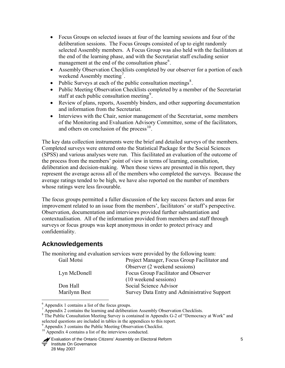- <span id="page-11-0"></span>• Focus Groups on selected issues at four of the learning sessions and four of the deliberation sessions. The Focus Groups consisted of up to eight randomly selected Assembly members. A Focus Group was also held with the facilitators at the end of the learning phase, and with the Secretariat staff excluding senior management at the end of the consultation phase<sup>[6](#page-11-1)</sup>.
- Assembly Observation Checklists completed by our observer for a portion of each weekend Assembly meeting<sup>[7](#page-11-2)</sup>.
- Public Surveys at each of the public consultation meetings<sup>[8](#page-11-3)</sup>.
- Public Meeting Observation Checklists completed by a member of the Secretariat staff at each public consultation meeting<sup>[9](#page-11-4)</sup>.
- Review of plans, reports, Assembly binders, and other supporting documentation and information from the Secretariat.
- Interviews with the Chair, senior management of the Secretariat, some members of the Monitoring and Evaluation Advisory Committee, some of the facilitators, and others on conclusion of the process $10$ .

The key data collection instruments were the brief and detailed surveys of the members. Completed surveys were entered onto the Statistical Package for the Social Sciences (SPSS) and various analyses were run. This facilitated an evaluation of the outcome of the process from the members' point of view in terms of learning, consultation, deliberation and decision-making. When those views are presented in this report, they represent the average across all of the members who completed the surveys. Because the average ratings tended to be high, we have also reported on the number of members whose ratings were less favourable.

The focus groups permitted a fuller discussion of the key success factors and areas for improvement related to an issue from the members', facilitators' or staff's perspective. Observation, documentation and interviews provided further substantiation and contextualisation. All of the information provided from members and staff through surveys or focus groups was kept anonymous in order to protect privacy and confidentiality.

# **Acknowledgements**

 $\overline{a}$ 

The monitoring and evaluation services were provided by the following team:

| Project Manager, Focus Group Facilitator and |
|----------------------------------------------|
| Observer (2 weekend sessions)                |
| Focus Group Facilitator and Observer         |
| (10 weekend sessions)                        |
| Social Science Advisor                       |
| Survey Data Entry and Administrative Support |
|                                              |

<sup>6</sup> Appendix 1 contains a list of the focus groups.

<span id="page-11-2"></span><span id="page-11-1"></span><sup>&</sup>lt;sup>7</sup> Appendix 2 contains the learning and deliberation Assembly Observation Checklists.

<span id="page-11-3"></span><sup>&</sup>lt;sup>8</sup> The Public Consultation Meeting Survey is contained in Appendix G-2 of "Democracy at Work" and selected questions are included in tables in the appendices to this report.

<span id="page-11-4"></span>Appendix 3 contains the Public Meeting Observation Checklist.

<span id="page-11-5"></span><sup>&</sup>lt;sup>10</sup> Appendix 4 contains a list of the interviews conducted.

Evaluation of the Ontario Citizens' Assembly on Electoral Reform 5 Institute On Governance 28 May 2007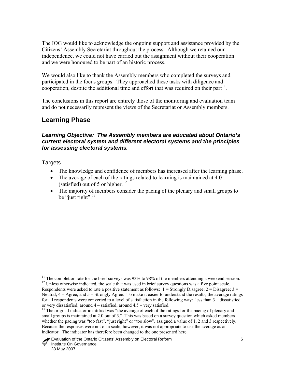<span id="page-12-0"></span>The IOG would like to acknowledge the ongoing support and assistance provided by the Citizens' Assembly Secretariat throughout the process. Although we retained our independence, we could not have carried out the assignment without their cooperation and we were honoured to be part of an historic process.

We would also like to thank the Assembly members who completed the surveys and participated in the focus groups. They approached these tasks with diligence and cooperation, despite the additional time and effort that was required on their part<sup>[11](#page-12-1)</sup>.

The conclusions in this report are entirely those of the monitoring and evaluation team and do not necessarily represent the views of the Secretariat or Assembly members.

# **Learning Phase**

#### *Learning Objective: The Assembly members are educated about Ontario's current electoral system and different electoral systems and the principles for assessing electoral systems.*

**Targets** 

- The knowledge and confidence of members has increased after the learning phase.
- The average of each of the ratings related to learning is maintained at 4.0 (satisfied) out of 5 or higher. $12$
- The majority of members consider the pacing of the plenary and small groups to be "just right". $13$

 $\overline{a}$ <sup>11</sup> The completion rate for the brief surveys was 93% to 98% of the members attending a weekend session. <sup>12</sup> Unless otherwise indicated, the scale that was used in brief survey questions was a five point scale.

Respondents were asked to rate a positive statement as follows:  $1 =$  Strongly Disagree;  $2 =$  Disagree;  $3 =$ Neutral; 4 = Agree; and 5 = Strongly Agree. To make it easier to understand the results, the average ratings for all respondents were converted to a level of satisfaction in the following way: less than 3 – dissatisfied or very dissatisfied; around 4 – satisfied; around 4.5 – very satisfied.

<span id="page-12-3"></span><span id="page-12-2"></span><span id="page-12-1"></span><sup>&</sup>lt;sup>13</sup> The original indicator identified was "the average of each of the ratings for the pacing of plenary and small groups is maintained at 2.0 out of 3." This was based on a survey question which asked members whether the pacing was "too fast", "just right" or "too slow", assigned a value of 1, 2 and 3 respectively. Because the responses were not on a scale, however, it was not appropriate to use the average as an indicator. The indicator has therefore been changed to the one presented here.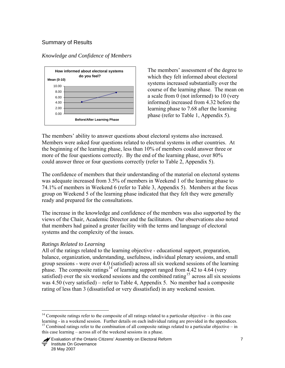#### <span id="page-13-0"></span>Summary of Results





The members' assessment of the degree to which they felt informed about electoral systems increased substantially over the course of the learning phase. The mean on a scale from 0 (not informed) to 10 (very informed) increased from 4.32 before the learning phase to 7.68 after the learning phase (refer to Table 1, Appendix 5).

The members' ability to answer questions about electoral systems also increased. Members were asked four questions related to electoral systems in other countries. At the beginning of the learning phase, less than 10% of members could answer three or more of the four questions correctly. By the end of the learning phase, over 80% could answer three or four questions correctly (refer to Table 2, Appendix 5).

The confidence of members that their understanding of the material on electoral systems was adequate increased from 3.5% of members in Weekend 1 of the learning phase to 74.1% of members in Weekend 6 (refer to Table 3, Appendix 5). Members at the focus group on Weekend 5 of the learning phase indicated that they felt they were generally ready and prepared for the consultations.

The increase in the knowledge and confidence of the members was also supported by the views of the Chair, Academic Director and the facilitators. Our observations also noted that members had gained a greater facility with the terms and language of electoral systems and the complexity of the issues.

#### *Ratings Related to Learning*

 $\overline{a}$ 

All of the ratings related to the learning objective - educational support, preparation, balance, organization, understanding, usefulness, individual plenary sessions, and small group sessions - were over 4.0 (satisfied) across all six weekend sessions of the learning phase. The composite ratings<sup>[14](#page-13-1)</sup> of learning support ranged from 4.42 to 4.64 (very satisfied) over the six weekend sessions and the combined rating<sup>[15](#page-13-2)</sup> across all six sessions was 4.50 (very satisfied) – refer to Table 4, Appendix 5. No member had a composite rating of less than 3 (dissatisfied or very dissatisfied) in any weekend session.

<span id="page-13-2"></span><span id="page-13-1"></span><sup>&</sup>lt;sup>14</sup> Composite ratings refer to the composite of all ratings related to a particular objective – in this case learning - in a weekend session. Further details on each individual rating are provided in the appendices.  $15$  Combined ratings refer to the combination of all composite ratings related to a particular objective – in this case learning – across all of the weekend sessions in a phase.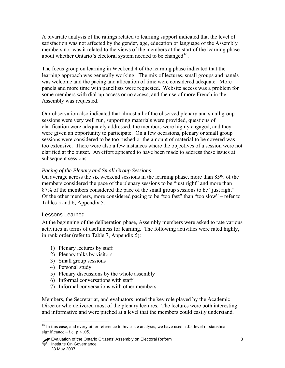<span id="page-14-0"></span>A bivariate analysis of the ratings related to learning support indicated that the level of satisfaction was not affected by the gender, age, education or language of the Assembly members nor was it related to the views of the members at the start of the learning phase about whether Ontario's electoral system needed to be changed<sup>[16](#page-14-1)</sup>.

The focus group on learning in Weekend 4 of the learning phase indicated that the learning approach was generally working. The mix of lectures, small groups and panels was welcome and the pacing and allocation of time were considered adequate. More panels and more time with panellists were requested. Website access was a problem for some members with dial-up access or no access, and the use of more French in the Assembly was requested.

Our observation also indicated that almost all of the observed plenary and small group sessions were very well run, supporting materials were provided, questions of clarification were adequately addressed, the members were highly engaged, and they were given an opportunity to participate. On a few occasions, plenary or small group sessions were considered to be too rushed or the amount of material to be covered was too extensive. There were also a few instances where the objectives of a session were not clarified at the outset. An effort appeared to have been made to address these issues at subsequent sessions.

#### *Pacing of the Plenary and Small Group Sessions*

On average across the six weekend sessions in the learning phase, more than 85% of the members considered the pace of the plenary sessions to be "just right" and more than 87% of the members considered the pace of the small group sessions to be "just right". Of the other members, more considered pacing to be "too fast" than "too slow" – refer to Tables 5 and 6, Appendix 5.

#### Lessons Learned

At the beginning of the deliberation phase, Assembly members were asked to rate various activities in terms of usefulness for learning. The following activities were rated highly, in rank order (refer to Table 7, Appendix 5):

- 1) Plenary lectures by staff
- 2) Plenary talks by visitors
- 3) Small group sessions
- 4) Personal study

 $\overline{a}$ 

- 5) Plenary discussions by the whole assembly
- 6) Informal conversations with staff
- 7) Informal conversations with other members

Members, the Secretariat, and evaluators noted the key role played by the Academic Director who delivered most of the plenary lectures. The lectures were both interesting and informative and were pitched at a level that the members could easily understand.

 Evaluation of the Ontario Citizens' Assembly on Electoral Reform 8 Institute On Governance 28 May 2007

<span id="page-14-1"></span><sup>&</sup>lt;sup>16</sup> In this case, and every other reference to bivariate analysis, we have used a .05 level of statistical significance – i.e.  $p < .05$ .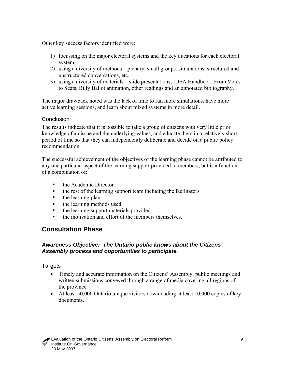<span id="page-15-0"></span>Other key success factors identified were:

- 1) focussing on the major electoral systems and the key questions for each electoral system;
- 2) using a diversity of methods plenary, small groups, simulations, structured and unstructured conversations, etc.
- 3) using a diversity of materials slide presentations, IDEA Handbook, From Votes to Seats, Billy Ballot animation, other readings and an annotated bibliography.

The major drawback noted was the lack of time to run more simulations, have more active learning sessions, and learn about mixed systems in more detail.

#### **Conclusion**

The results indicate that it is possible to take a group of citizens with very little prior knowledge of an issue and the underlying values, and educate them in a relatively short period of time so that they can independently deliberate and decide on a public policy recommendation.

The successful achievement of the objectives of the learning phase cannot be attributed to any one particular aspect of the learning support provided to members, but is a function of a combination of:

- the Academic Director
- the rest of the learning support team including the facilitators
- $\blacksquare$  the learning plan
- **the learning methods used**
- the learning support materials provided
- the motivation and effort of the members themselves.

# **Consultation Phase**

#### *Awareness Objective: The Ontario public knows about the Citizens' Assembly process and opportunities to participate.*

**Targets** 

- Timely and accurate information on the Citizens' Assembly, public meetings and written submissions conveyed through a range of media covering all regions of the province.
- At least 50,000 Ontario unique visitors downloading at least 10,000 copies of key documents.

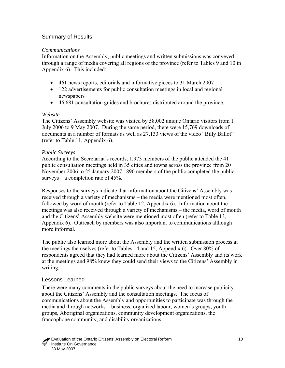#### <span id="page-16-0"></span>Summary of Results

#### *Communications*

Information on the Assembly, public meetings and written submissions was conveyed through a range of media covering all regions of the province (refer to Tables 9 and 10 in Appendix 6). This included:

- 461 news reports, editorials and informative pieces to 31 March 2007
- 122 advertisements for public consultation meetings in local and regional newspapers
- 46,681 consultation guides and brochures distributed around the province.

#### *Website*

The Citizens' Assembly website was visited by 58,002 unique Ontario visitors from 1 July 2006 to 9 May 2007. During the same period, there were 15,769 downloads of documents in a number of formats as well as 27,133 views of the video "Billy Ballot" (refer to Table 11, Appendix 6).

#### *Public Surveys*

According to the Secretariat's records, 1,973 members of the public attended the 41 public consultation meetings held in 35 cities and towns across the province from 20 November 2006 to 25 January 2007. 890 members of the public completed the public surveys – a completion rate of  $45%$ .

Responses to the surveys indicate that information about the Citizens' Assembly was received through a variety of mechanisms – the media were mentioned most often, followed by word of mouth (refer to Table 12, Appendix 6). Information about the meetings was also received through a variety of mechanisms – the media, word of mouth and the Citizens' Assembly website were mentioned most often (refer to Table 13, Appendix 6). Outreach by members was also important to communications although more informal.

The public also learned more about the Assembly and the written submission process at the meetings themselves (refer to Tables 14 and 15, Appendix 6). Over 80% of respondents agreed that they had learned more about the Citizens' Assembly and its work at the meetings and 98% knew they could send their views to the Citizens' Assembly in writing.

#### Lessons Learned

There were many comments in the public surveys about the need to increase publicity about the Citizens' Assembly and the consultation meetings. The focus of communications about the Assembly and opportunities to participate was through the media and through networks – business, organized labour, women's groups, youth groups, Aboriginal organizations, community development organizations, the francophone community, and disability organizations.

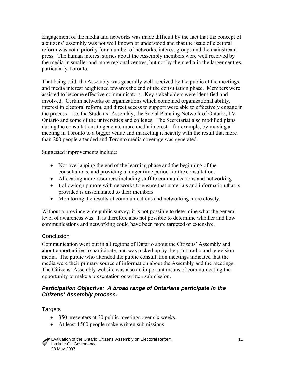<span id="page-17-0"></span>Engagement of the media and networks was made difficult by the fact that the concept of a citizens' assembly was not well known or understood and that the issue of electoral reform was not a priority for a number of networks, interest groups and the mainstream press. The human interest stories about the Assembly members were well received by the media in smaller and more regional centres, but not by the media in the larger centres, particularly Toronto.

That being said, the Assembly was generally well received by the public at the meetings and media interest heightened towards the end of the consultation phase. Members were assisted to become effective communicators. Key stakeholders were identified and involved. Certain networks or organizations which combined organizational ability, interest in electoral reform, and direct access to support were able to effectively engage in the process – i.e. the Students' Assembly, the Social Planning Network of Ontario, TV Ontario and some of the universities and colleges. The Secretariat also modified plans during the consultations to generate more media interest – for example, by moving a meeting in Toronto to a bigger venue and marketing it heavily with the result that more than 200 people attended and Toronto media coverage was generated.

Suggested improvements include:

- Not overlapping the end of the learning phase and the beginning of the consultations, and providing a longer time period for the consultations
- Allocating more resources including staff to communications and networking
- Following up more with networks to ensure that materials and information that is provided is disseminated to their members
- Monitoring the results of communications and networking more closely.

Without a province wide public survey, it is not possible to determine what the general level of awareness was. It is therefore also not possible to determine whether and how communications and networking could have been more targeted or extensive.

#### **Conclusion**

Communication went out in all regions of Ontario about the Citizens' Assembly and about opportunities to participate, and was picked up by the print, radio and television media. The public who attended the public consultation meetings indicated that the media were their primary source of information about the Assembly and the meetings. The Citizens' Assembly website was also an important means of communicating the opportunity to make a presentation or written submission.

#### *Participation Objective: A broad range of Ontarians participate in the Citizens' Assembly process.*

**Targets** 

- 350 presenters at 30 public meetings over six weeks.
- At least 1500 people make written submissions.

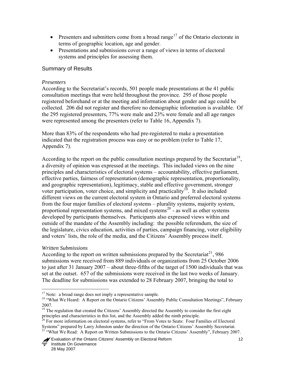- <span id="page-18-0"></span>• Presenters and submitters come from a broad range<sup>[17](#page-18-1)</sup> of the Ontario electorate in terms of geographic location, age and gender.
- Presentations and submissions cover a range of views in terms of electoral systems and principles for assessing them.

#### Summary of Results

#### *Presenters*

According to the Secretariat's records, 501 people made presentations at the 41 public consultation meetings that were held throughout the province. 295 of those people registered beforehand or at the meeting and information about gender and age could be collected. 206 did not register and therefore no demographic information is available. Of the 295 registered presenters, 77% were male and 23% were female and all age ranges were represented among the presenters (refer to Table 16, Appendix 7).

More than 83% of the respondents who had pre-registered to make a presentation indicated that the registration process was easy or no problem (refer to Table 17, Appendix 7).

According to the report on the public consultation meetings prepared by the Secretariat<sup>[18](#page-18-2)</sup>. a diversity of opinion was expressed at the meetings. This included views on the nine principles and characteristics of electoral systems – accountability, effective parliament, effective parties, fairness of representation (demographic representation, proportionality, and geographic representation), legitimacy, stable and effective government, stronger voter participation, voter choice, and simplicity and practicality<sup>[19](#page-18-3)</sup>. It also included different views on the current electoral system in Ontario and preferred electoral systems from the four major families of electoral systems – plurality systems, majority system, proportional representation systems, and mixed systems<sup>[20](#page-18-4)</sup> - as well as other systems developed by participants themselves. Participants also expressed views within and outside of the mandate of the Assembly including: the possible referendum, the size of the legislature, civics education, activities of parties, campaign financing, voter eligibility and voters' lists, the role of the media, and the Citizens' Assembly process itself.

#### *Written Submissions*

 $\overline{a}$ 

According to the report on written submissions prepared by the Secretariat<sup>[21](#page-18-5)</sup>, 986 submissions were received from 889 individuals or organizations from 25 October 2006 to just after 31 January 2007 – about three-fifths of the target of 1500 individuals that was set at the outset. 657 of the submissions were received in the last two weeks of January. The deadline for submissions was extended to 28 February 2007, bringing the total to

<span id="page-18-1"></span> $17$  Note: a broad range does not imply a representative sample.

<span id="page-18-2"></span><sup>&</sup>lt;sup>18</sup> "What We Heard: A Report on the Ontario Citizens' Assembly Public Consultation Meetings", February 2007.

<span id="page-18-3"></span><sup>&</sup>lt;sup>19</sup> The regulation that created the Citizens' Assembly directed the Assembly to consider the first eight principles and characteristics in this list, and the Assembly added the ninth principle.

<span id="page-18-5"></span><span id="page-18-4"></span><sup>&</sup>lt;sup>20</sup> For more information on electoral systems, refer to "From Votes to Seats: Four Families of Electoral Systems" prepared by Larry Johnston under the direction of the Ontario Citizens' Assembly Secretariat.<br><sup>21</sup> "What We Read: A Report on Written Submissions to the Ontario Citizens' Assembly", February 2007.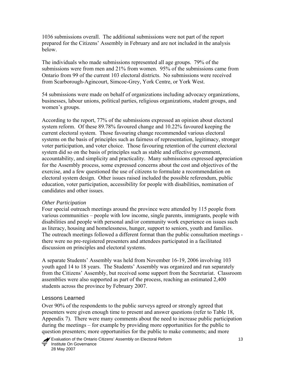<span id="page-19-0"></span>1036 submissions overall. The additional submissions were not part of the report prepared for the Citizens' Assembly in February and are not included in the analysis below.

The individuals who made submissions represented all age groups. 79% of the submissions were from men and 21% from women. 95% of the submissions came from Ontario from 99 of the current 103 electoral districts. No submissions were received from Scarborough-Agincourt, Simcoe-Grey, York Centre, or York West.

54 submissions were made on behalf of organizations including advocacy organizations, businesses, labour unions, political parties, religious organizations, student groups, and women's groups.

According to the report, 77% of the submissions expressed an opinion about electoral system reform. Of these 89.78% favoured change and 10.22% favoured keeping the current electoral system. Those favouring change recommended various electoral systems on the basis of principles such as fairness of representation, legitimacy, stronger voter participation, and voter choice. Those favouring retention of the current electoral system did so on the basis of principles such as stable and effective government, accountability, and simplicity and practicality. Many submissions expressed appreciation for the Assembly process, some expressed concerns about the cost and objectives of the exercise, and a few questioned the use of citizens to formulate a recommendation on electoral system design. Other issues raised included the possible referendum, public education, voter participation, accessibility for people with disabilities, nomination of candidates and other issues.

#### *Other Participation*

Four special outreach meetings around the province were attended by 115 people from various communities – people with low income, single parents, immigrants, people with disabilities and people with personal and/or community work experience on issues such as literacy, housing and homelessness, hunger, support to seniors, youth and families. The outreach meetings followed a different format than the public consultation meetings there were no pre-registered presenters and attendees participated in a facilitated discussion on principles and electoral systems.

A separate Students' Assembly was held from November 16-19, 2006 involving 103 youth aged 14 to 18 years. The Students' Assembly was organized and run separately from the Citizens' Assembly, but received some support from the Secretariat. Classroom assemblies were also supported as part of the process, reaching an estimated 2,400 students across the province by February 2007.

#### Lessons Learned

Over 90% of the respondents to the public surveys agreed or strongly agreed that presenters were given enough time to present and answer questions (refer to Table 18, Appendix 7). There were many comments about the need to increase public participation during the meetings – for example by providing more opportunities for the public to question presenters; more opportunities for the public to make comments; and more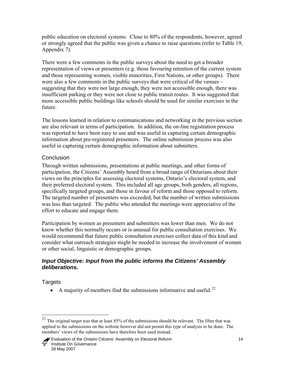<span id="page-20-0"></span>public education on electoral systems. Close to 80% of the respondents, however, agreed or strongly agreed that the public was given a chance to raise questions (refer to Table 19, Appendix 7).

There were a few comments in the public surveys about the need to get a broader representation of views or presenters (e.g. those favouring retention of the current system and those representing women, visible minorities, First Nations, or other groups). There were also a few comments in the public surveys that were critical of the venues – suggesting that they were not large enough, they were not accessible enough, there was insufficient parking or they were not close to public transit routes. It was suggested that more accessible public buildings like schools should be used for similar exercises in the future.

The lessons learned in relation to communications and networking in the previous section are also relevant in terms of participation. In addition, the on-line registration process was reported to have been easy to use and was useful in capturing certain demographic information about pre-registered presenters. The online submission process was also useful in capturing certain demographic information about submitters.

## **Conclusion**

Through written submissions, presentations at public meetings, and other forms of participation, the Citizens' Assembly heard from a broad range of Ontarians about their views on the principles for assessing electoral systems, Ontario's electoral system, and their preferred electoral system. This included all age groups, both genders, all regions, specifically targeted groups, and those in favour of reform and those opposed to reform. The targeted number of presenters was exceeded, but the number of written submissions was less than targeted. The public who attended the meetings were appreciative of the effort to educate and engage them.

Participation by women as presenters and submitters was lower than men. We do not know whether this normally occurs or is unusual for public consultation exercises. We would recommend that future public consultation exercises collect data of this kind and consider what outreach strategies might be needed to increase the involvement of women or other social, linguistic or demographic groups.

## *Input Objective: Input from the public informs the Citizens' Assembly deliberations.*

## Targets

 $\overline{a}$ 

• A majority of members find the submissions informative and useful.<sup>[22](#page-20-1)</sup>

<span id="page-20-1"></span><sup>&</sup>lt;sup>22</sup> The original target was that at least 85% of the submissions should be relevant. The filter that was applied to the submissions on the website however did not permit this type of analysis to be done. The members' views of the submissions have therefore been used instead.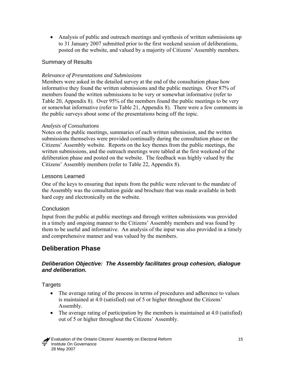<span id="page-21-0"></span>• Analysis of public and outreach meetings and synthesis of written submissions up to 31 January 2007 submitted prior to the first weekend session of deliberations, posted on the website, and valued by a majority of Citizens' Assembly members.

#### Summary of Results

#### *Relevance of Presentations and Submissions*

Members were asked in the detailed survey at the end of the consultation phase how informative they found the written submissions and the public meetings. Over 87% of members found the written submissions to be very or somewhat informative (refer to Table 20, Appendix 8). Over 95% of the members found the public meetings to be very or somewhat informative (refer to Table 21, Appendix 8). There were a few comments in the public surveys about some of the presentations being off the topic.

#### *Analysis of Consultations*

Notes on the public meetings, summaries of each written submission, and the written submissions themselves were provided continually during the consultation phase on the Citizens' Assembly website. Reports on the key themes from the public meetings, the written submissions, and the outreach meetings were tabled at the first weekend of the deliberation phase and posted on the website. The feedback was highly valued by the Citizens' Assembly members (refer to Table 22, Appendix 8).

#### Lessons Learned

One of the keys to ensuring that inputs from the public were relevant to the mandate of the Assembly was the consultation guide and brochure that was made available in both hard copy and electronically on the website.

#### **Conclusion**

Input from the public at public meetings and through written submissions was provided in a timely and ongoing manner to the Citizens' Assembly members and was found by them to be useful and informative. An analysis of the input was also provided in a timely and comprehensive manner and was valued by the members.

# **Deliberation Phase**

#### *Deliberation Objective: The Assembly facilitates group cohesion, dialogue and deliberation.*

**Targets** 

- The average rating of the process in terms of procedures and adherence to values is maintained at 4.0 (satisfied) out of 5 or higher throughout the Citizens' Assembly.
- The average rating of participation by the members is maintained at 4.0 (satisfied) out of 5 or higher throughout the Citizens' Assembly.

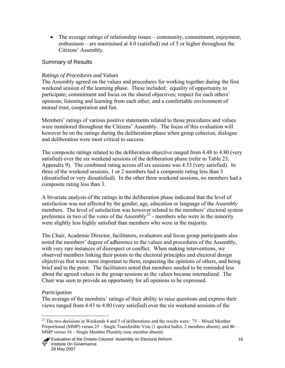<span id="page-22-0"></span>• The average ratings of relationship issues – community, commitment, enjoyment, enthusiasm – are maintained at 4.0 (satisfied) out of 5 or higher throughout the Citizens' Assembly.

#### Summary of Results

#### *Ratings of Procedures and Values*

The Assembly agreed on the values and procedures for working together during the first weekend session of the learning phase. These included: equality of opportunity to participate; commitment and focus on the shared objectives; respect for each others' opinions; listening and learning from each other; and a comfortable environment of mutual trust, cooperation and fun.

Members' ratings of various positive statements related to those procedures and values were monitored throughout the Citizens' Assembly. The focus of this evaluation will however be on the ratings during the deliberation phase when group cohesion, dialogue and deliberation were most critical to success.

The composite ratings related to the deliberation objective ranged from 4.48 to 4.80 (very satisfied) over the six weekend sessions of the deliberation phase (refer to Table 23, Appendix 9). The combined rating across all six sessions was 4.53 (very satisfied). In three of the weekend sessions, 1 or 2 members had a composite rating less than 3 (dissatisfied or very dissatisfied). In the other three weekend sessions, no members had a composite rating less than 3.

A bivariate analysis of the ratings in the deliberation phase indicated that the level of satisfaction was not affected by the gender, age, education or language of the Assembly members. The level of satisfaction was however related to the members' electoral system preference in two of the votes of the Assembly<sup>[23](#page-22-1)</sup> - members who were in the minority were slightly less highly satisfied than members who were in the majority.

The Chair, Academic Director, facilitators, evaluators and focus group participants also noted the members' degree of adherence to the values and procedures of the Assembly, with very rare instances of disrespect or conflict. When making interventions, we observed members linking their points to the electoral principles and electoral design objectives that were most important to them, respecting the opinions of others, and being brief and to the point. The facilitators noted that members needed to be reminded less about the agreed values in the group sessions as the values became internalized. The Chair was seen to provide an opportunity for all opinions to be expressed.

#### *Participation*

The average of the members' ratings of their ability to raise questions and express their views ranged from 4.43 to 4.80 (very satisfied) over the six weekend sessions of the

<span id="page-22-1"></span> $\overline{a}$  $23$  The two decisions in Weekends 4 and 5 of deliberations and the results were:  $75 -$  Mixed Member Proportional (MMP) versus 25 – Single Transferable Vote (1 spoiled ballot, 2 members absent); and 86 – MMP versus 16 – Single Member Plurality (one member absent).

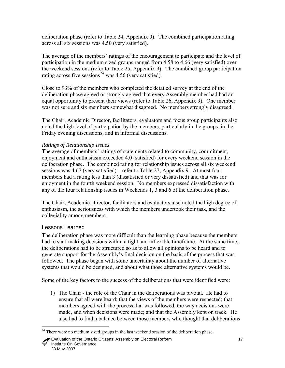<span id="page-23-0"></span>deliberation phase (refer to Table 24, Appendix 9). The combined participation rating across all six sessions was 4.50 (very satisfied).

The average of the members' ratings of the encouragement to participate and the level of participation in the medium sized groups ranged from 4.58 to 4.66 (very satisfied) over the weekend sessions (refer to Table 25, Appendix 9). The combined group participation rating across five sessions<sup>[24](#page-23-0)</sup> was  $4.56$  (very satisfied).

Close to 93% of the members who completed the detailed survey at the end of the deliberation phase agreed or strongly agreed that every Assembly member had had an equal opportunity to present their views (refer to Table 26, Appendix 9). One member was not sure and six members somewhat disagreed. No members strongly disagreed.

The Chair, Academic Director, facilitators, evaluators and focus group participants also noted the high level of participation by the members, particularly in the groups, in the Friday evening discussions, and in informal discussions.

## *Ratings of Relationship Issues*

The average of members' ratings of statements related to community, commitment, enjoyment and enthusiasm exceeded 4.0 (satisfied) for every weekend session in the deliberation phase. The combined rating for relationship issues across all six weekend sessions was 4.67 (very satisfied) – refer to Table 27, Appendix 9. At most four members had a rating less than 3 (dissatisfied or very dissatisfied) and that was for enjoyment in the fourth weekend session. No members expressed dissatisfaction with any of the four relationship issues in Weekends 1, 3 and 6 of the deliberation phase.

The Chair, Academic Director, facilitators and evaluators also noted the high degree of enthusiasm, the seriousness with which the members undertook their task, and the collegiality among members.

## Lessons Learned

The deliberation phase was more difficult than the learning phase because the members had to start making decisions within a tight and inflexible timeframe. At the same time, the deliberations had to be structured so as to allow all opinions to be heard and to generate support for the Assembly's final decision on the basis of the process that was followed. The phase began with some uncertainty about the number of alternative systems that would be designed, and about what those alternative systems would be.

Some of the key factors to the success of the deliberations that were identified were:

1) The Chair - the role of the Chair in the deliberations was pivotal. He had to ensure that all were heard; that the views of the members were respected; that members agreed with the process that was followed, the way decisions were made, and when decisions were made; and that the Assembly kept on track. He also had to find a balance between those members who thought that deliberations

 $\overline{a}$ <sup>24</sup> There were no medium sized groups in the last weekend session of the deliberation phase.

Evaluation of the Ontario Citizens' Assembly on Electoral Reform 17 Institute On Governance 28 May 2007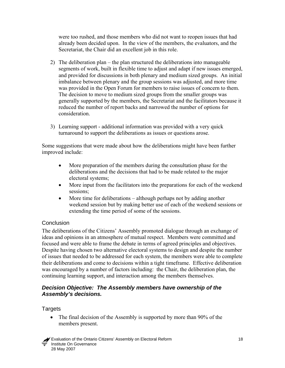<span id="page-24-0"></span>were too rushed, and those members who did not want to reopen issues that had already been decided upon. In the view of the members, the evaluators, and the Secretariat, the Chair did an excellent job in this role.

- 2) The deliberation plan the plan structured the deliberations into manageable segments of work, built in flexible time to adjust and adapt if new issues emerged, and provided for discussions in both plenary and medium sized groups. An initial imbalance between plenary and the group sessions was adjusted, and more time was provided in the Open Forum for members to raise issues of concern to them. The decision to move to medium sized groups from the smaller groups was generally supported by the members, the Secretariat and the facilitators because it reduced the number of report backs and narrowed the number of options for consideration.
- 3) Learning support additional information was provided with a very quick turnaround to support the deliberations as issues or questions arose.

Some suggestions that were made about how the deliberations might have been further improved include:

- More preparation of the members during the consultation phase for the deliberations and the decisions that had to be made related to the major electoral systems;
- More input from the facilitators into the preparations for each of the weekend sessions:
- More time for deliberations although perhaps not by adding another weekend session but by making better use of each of the weekend sessions or extending the time period of some of the sessions.

#### **Conclusion**

The deliberations of the Citizens' Assembly promoted dialogue through an exchange of ideas and opinions in an atmosphere of mutual respect. Members were committed and focused and were able to frame the debate in terms of agreed principles and objectives. Despite having chosen two alternative electoral systems to design and despite the number of issues that needed to be addressed for each system, the members were able to complete their deliberations and come to decisions within a tight timeframe. Effective deliberation was encouraged by a number of factors including: the Chair, the deliberation plan, the continuing learning support, and interaction among the members themselves.

#### *Decision Objective: The Assembly members have ownership of the Assembly's decisions.*

**Targets** 

• The final decision of the Assembly is supported by more than 90% of the members present.

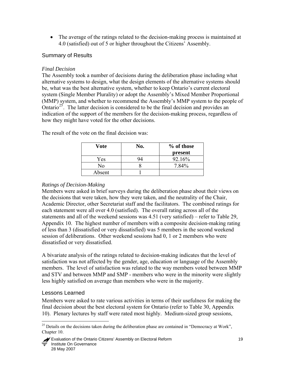<span id="page-25-0"></span>• The average of the ratings related to the decision-making process is maintained at 4.0 (satisfied) out of 5 or higher throughout the Citizens' Assembly.

## Summary of Results

#### *Final Decision*

The Assembly took a number of decisions during the deliberation phase including what alternative systems to design, what the design elements of the alternative systems should be, what was the best alternative system, whether to keep Ontario's current electoral system (Single Member Plurality) or adopt the Assembly's Mixed Member Proportional (MMP) system, and whether to recommend the Assembly's MMP system to the people of Ontario<sup>[25](#page-25-0)</sup>. The latter decision is considered to be the final decision and provides an indication of the support of the members for the decision-making process, regardless of how they might have voted for the other decisions.

| Vote   | No. | % of those<br>present |
|--------|-----|-----------------------|
| Yes    |     | 92.16%                |
| No     |     | 7.84%                 |
| Absent |     |                       |

The result of the vote on the final decision was:

## *Ratings of Decision-Making*

Members were asked in brief surveys during the deliberation phase about their views on the decisions that were taken, how they were taken, and the neutrality of the Chair, Academic Director, other Secretariat staff and the facilitators. The combined ratings for each statement were all over 4.0 (satisfied). The overall rating across all of the statements and all of the weekend sessions was 4.51 (very satisfied) – refer to Table 29, Appendix 10. The highest number of members with a composite decision-making rating of less than 3 (dissatisfied or very dissatisfied) was 5 members in the second weekend session of deliberations. Other weekend sessions had 0, 1 or 2 members who were dissatisfied or very dissatisfied.

A bivariate analysis of the ratings related to decision-making indicates that the level of satisfaction was not affected by the gender, age, education or language of the Assembly members. The level of satisfaction was related to the way members voted between MMP and STV and between MMP and SMP - members who were in the minority were slightly less highly satisfied on average than members who were in the majority.

#### Lessons Learned

 $\overline{a}$ 

Members were asked to rate various activities in terms of their usefulness for making the final decision about the best electoral system for Ontario (refer to Table 30, Appendix 10). Plenary lectures by staff were rated most highly. Medium-sized group sessions,

<sup>&</sup>lt;sup>25</sup> Details on the decisions taken during the deliberation phase are contained in "Democracy at Work", Chapter 10.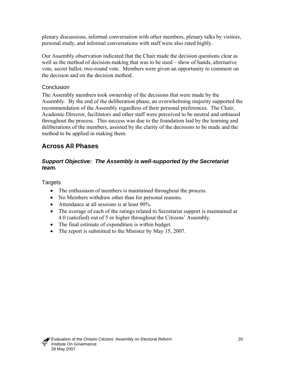<span id="page-26-0"></span>plenary discussions, informal conversation with other members, plenary talks by visitors, personal study, and informal conversations with staff were also rated highly.

Our Assembly observation indicated that the Chair made the decision questions clear as well as the method of decision-making that was to be used – show of hands, alternative vote, secret ballot, two-round vote. Members were given an opportunity to comment on the decision and on the decision method.

#### **Conclusion**

The Assembly members took ownership of the decisions that were made by the Assembly. By the end of the deliberation phase, an overwhelming majority supported the recommendation of the Assembly regardless of their personal preferences. The Chair, Academic Director, facilitators and other staff were perceived to be neutral and unbiased throughout the process. This success was due to the foundation laid by the learning and deliberations of the members, assisted by the clarity of the decisions to be made and the method to be applied in making them.

# **Across All Phases**

#### *Support Objective: The Assembly is well-supported by the Secretariat team.*

**Targets** 

- The enthusiasm of members is maintained throughout the process.
- No Members withdraw other than for personal reasons.
- Attendance at all sessions is at least 90%.
- The average of each of the ratings related to Secretariat support is maintained at 4.0 (satisfied) out of 5 or higher throughout the Citizens' Assembly.
- The final estimate of expenditure is within budget.
- The report is submitted to the Minister by May 15, 2007.

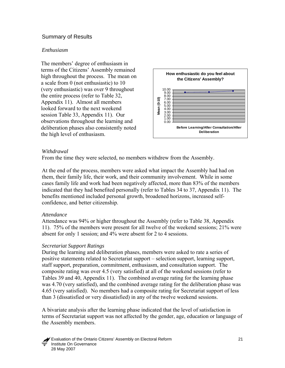#### <span id="page-27-0"></span>Summary of Results

#### *Enthusiasm*

The members' degree of enthusiasm in terms of the Citizens' Assembly remained high throughout the process. The mean on a scale from 0 (not enthusiastic) to 10 (very enthusiastic) was over 9 throughout the entire process (refer to Table 32, Appendix 11). Almost all members looked forward to the next weekend session Table 33, Appendix 11). Our observations throughout the learning and deliberation phases also consistently noted the high level of enthusiasm.



#### *Withdrawal*

From the time they were selected, no members withdrew from the Assembly.

At the end of the process, members were asked what impact the Assembly had had on them, their family life, their work, and their community involvement. While in some cases family life and work had been negatively affected, more than 83% of the members indicated that they had benefited personally (refer to Tables 34 to 37, Appendix 11). The benefits mentioned included personal growth, broadened horizons, increased selfconfidence, and better citizenship.

#### *Attendance*

Attendance was 94% or higher throughout the Assembly (refer to Table 38, Appendix 11). 75% of the members were present for all twelve of the weekend sessions; 21% were absent for only 1 session; and 4% were absent for 2 to 4 sessions.

#### *Secretariat Support Ratings*

During the learning and deliberation phases, members were asked to rate a series of positive statements related to Secretariat support – selection support, learning support, staff support, preparation, commitment, enthusiasm, and consultation support. The composite rating was over 4.5 (very satisfied) at all of the weekend sessions (refer to Tables 39 and 40, Appendix 11). The combined average rating for the learning phase was 4.70 (very satisfied), and the combined average rating for the deliberation phase was 4.65 (very satisfied). No members had a composite rating for Secretariat support of less than 3 (dissatisfied or very dissatisfied) in any of the twelve weekend sessions.

A bivariate analysis after the learning phase indicated that the level of satisfaction in terms of Secretariat support was not affected by the gender, age, education or language of the Assembly members.

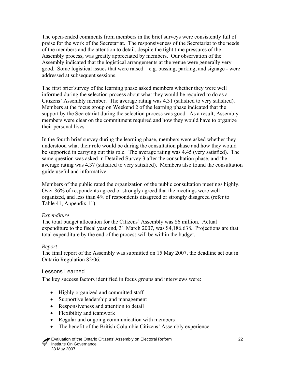<span id="page-28-0"></span>The open-ended comments from members in the brief surveys were consistently full of praise for the work of the Secretariat. The responsiveness of the Secretariat to the needs of the members and the attention to detail, despite the tight time pressures of the Assembly process, was greatly appreciated by members. Our observation of the Assembly indicated that the logistical arrangements at the venue were generally very good. Some logistical issues that were raised – e.g. bussing, parking, and signage - were addressed at subsequent sessions.

The first brief survey of the learning phase asked members whether they were well informed during the selection process about what they would be required to do as a Citizens' Assembly member. The average rating was 4.31 (satisfied to very satisfied). Members at the focus group on Weekend 2 of the learning phase indicated that the support by the Secretariat during the selection process was good. As a result, Assembly members were clear on the commitment required and how they would have to organize their personal lives.

In the fourth brief survey during the learning phase, members were asked whether they understood what their role would be during the consultation phase and how they would be supported in carrying out this role. The average rating was 4.45 (very satisfied). The same question was asked in Detailed Survey 3 after the consultation phase, and the average rating was 4.37 (satisfied to very satisfied). Members also found the consultation guide useful and informative.

Members of the public rated the organization of the public consultation meetings highly. Over 86% of respondents agreed or strongly agreed that the meetings were well organized, and less than 4% of respondents disagreed or strongly disagreed (refer to Table 41, Appendix 11).

#### *Expenditure*

The total budget allocation for the Citizens' Assembly was \$6 million. Actual expenditure to the fiscal year end, 31 March 2007, was \$4,186,638. Projections are that total expenditure by the end of the process will be within the budget.

#### *Report*

The final report of the Assembly was submitted on 15 May 2007, the deadline set out in Ontario Regulation 82/06.

#### Lessons Learned

The key success factors identified in focus groups and interviews were:

- Highly organized and committed staff
- Supportive leadership and management
- Responsiveness and attention to detail
- Flexibility and teamwork
- Regular and ongoing communication with members
- The benefit of the British Columbia Citizens' Assembly experience

 Evaluation of the Ontario Citizens' Assembly on Electoral Reform 22 Institute On Governance 28 May 2007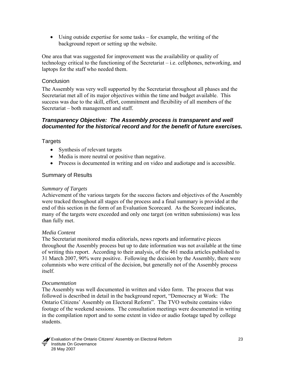<span id="page-29-0"></span>• Using outside expertise for some tasks – for example, the writing of the background report or setting up the website.

One area that was suggested for improvement was the availability or quality of technology critical to the functioning of the Secretariat – i.e. cellphones, networking, and laptops for the staff who needed them.

#### Conclusion

The Assembly was very well supported by the Secretariat throughout all phases and the Secretariat met all of its major objectives within the time and budget available. This success was due to the skill, effort, commitment and flexibility of all members of the Secretariat – both management and staff.

#### *Transparency Objective: The Assembly process is transparent and well documented for the historical record and for the benefit of future exercises.*

#### **Targets**

- Synthesis of relevant targets
- Media is more neutral or positive than negative.
- Process is documented in writing and on video and audiotape and is accessible.

#### Summary of Results

#### *Summary of Targets*

Achievement of the various targets for the success factors and objectives of the Assembly were tracked throughout all stages of the process and a final summary is provided at the end of this section in the form of an Evaluation Scorecard. As the Scorecard indicates, many of the targets were exceeded and only one target (on written submissions) was less than fully met.

#### *Media Content*

The Secretariat monitored media editorials, news reports and informative pieces throughout the Assembly process but up to date information was not available at the time of writing this report. According to their analysis, of the 461 media articles published to 31 March 2007, 90% were positive. Following the decision by the Assembly, there were columnists who were critical of the decision, but generally not of the Assembly process itself.

#### *Documentation*

The Assembly was well documented in written and video form. The process that was followed is described in detail in the background report, "Democracy at Work: The Ontario Citizens' Assembly on Electoral Reform". The TVO website contains video footage of the weekend sessions. The consultation meetings were documented in writing in the compilation report and to some extent in video or audio footage taped by college students.

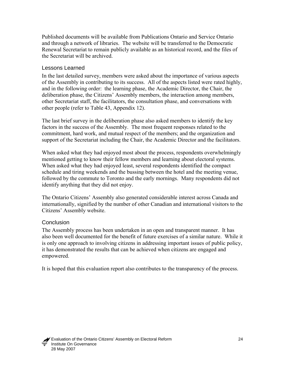<span id="page-30-0"></span>Published documents will be available from Publications Ontario and Service Ontario and through a network of libraries. The website will be transferred to the Democratic Renewal Secretariat to remain publicly available as an historical record, and the files of the Secretariat will be archived.

#### Lessons Learned

In the last detailed survey, members were asked about the importance of various aspects of the Assembly in contributing to its success. All of the aspects listed were rated highly, and in the following order: the learning phase, the Academic Director, the Chair, the deliberation phase, the Citizens' Assembly members, the interaction among members, other Secretariat staff, the facilitators, the consultation phase, and conversations with other people (refer to Table 43, Appendix 12).

The last brief survey in the deliberation phase also asked members to identify the key factors in the success of the Assembly. The most frequent responses related to the commitment, hard work, and mutual respect of the members; and the organization and support of the Secretariat including the Chair, the Academic Director and the facilitators.

When asked what they had enjoyed most about the process, respondents overwhelmingly mentioned getting to know their fellow members and learning about electoral systems. When asked what they had enjoyed least, several respondents identified the compact schedule and tiring weekends and the bussing between the hotel and the meeting venue, followed by the commute to Toronto and the early mornings. Many respondents did not identify anything that they did not enjoy.

The Ontario Citizens' Assembly also generated considerable interest across Canada and internationally, signified by the number of other Canadian and international visitors to the Citizens' Assembly website.

#### **Conclusion**

The Assembly process has been undertaken in an open and transparent manner. It has also been well documented for the benefit of future exercises of a similar nature. While it is only one approach to involving citizens in addressing important issues of public policy, it has demonstrated the results that can be achieved when citizens are engaged and empowered.

It is hoped that this evaluation report also contributes to the transparency of the process.

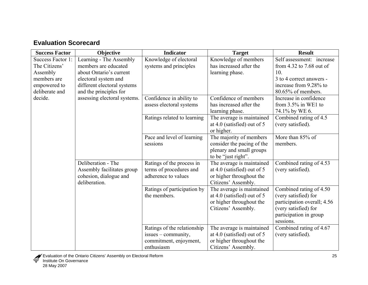# **Evaluation Scorecard**

| <b>Success Factor</b> | Objective                    | <b>Indicator</b>            | <b>Target</b>               | <b>Result</b>               |
|-----------------------|------------------------------|-----------------------------|-----------------------------|-----------------------------|
| Success Factor 1:     | Learning - The Assembly      | Knowledge of electoral      | Knowledge of members        | Self assessment: increase   |
| The Citizens'         | members are educated         | systems and principles      | has increased after the     | from 4.32 to 7.68 out of    |
| Assembly              | about Ontario's current      |                             | learning phase.             | 10.                         |
| members are           | electoral system and         |                             |                             | 3 to 4 correct answers -    |
| empowered to          | different electoral systems  |                             |                             | increase from 9.28% to      |
| deliberate and        | and the principles for       |                             |                             | 80.65% of members.          |
| decide.               | assessing electoral systems. | Confidence in ability to    | Confidence of members       | Increase in confidence      |
|                       |                              | assess electoral systems    | has increased after the     | from $3.5\%$ in WE1 to      |
|                       |                              |                             | learning phase.             | 74.1% by WE 6.              |
|                       |                              | Ratings related to learning | The average is maintained   | Combined rating of 4.5      |
|                       |                              |                             | at 4.0 (satisfied) out of 5 | (very satisfied).           |
|                       |                              |                             | or higher.                  |                             |
|                       |                              | Pace and level of learning  | The majority of members     | More than 85% of            |
|                       |                              | sessions                    | consider the pacing of the  | members.                    |
|                       |                              |                             | plenary and small groups    |                             |
|                       |                              |                             | to be "just right".         |                             |
|                       | Deliberation - The           | Ratings of the process in   | The average is maintained   | Combined rating of 4.53     |
|                       | Assembly facilitates group   | terms of procedures and     | at 4.0 (satisfied) out of 5 | (very satisfied).           |
|                       | cohesion, dialogue and       | adherence to values         | or higher throughout the    |                             |
|                       | deliberation.                |                             | Citizens' Assembly.         |                             |
|                       |                              | Ratings of participation by | The average is maintained   | Combined rating of 4.50     |
|                       |                              | the members.                | at 4.0 (satisfied) out of 5 | (very satisfied) for        |
|                       |                              |                             | or higher throughout the    | participation overall; 4.56 |
|                       |                              |                             | Citizens' Assembly.         | (very satisfied) for        |
|                       |                              |                             |                             | participation in group      |
|                       |                              |                             |                             | sessions.                   |
|                       |                              | Ratings of the relationship | The average is maintained   | Combined rating of 4.67     |
|                       |                              | issues – community,         | at 4.0 (satisfied) out of 5 | (very satisfied).           |
|                       |                              | commitment, enjoyment,      | or higher throughout the    |                             |
|                       |                              | enthusiasm                  | Citizens' Assembly.         |                             |

<span id="page-31-0"></span>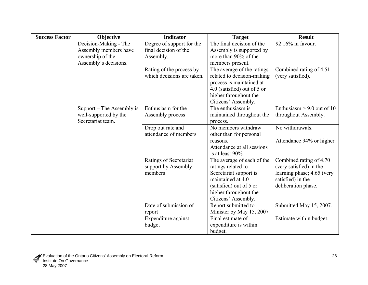| <b>Success Factor</b> | Objective                 | <b>Indicator</b>                           | <b>Target</b>                          | <b>Result</b>                |
|-----------------------|---------------------------|--------------------------------------------|----------------------------------------|------------------------------|
|                       | Decision-Making - The     | Degree of support for the                  | The final decision of the              | 92.16% in favour.            |
|                       | Assembly members have     | final decision of the                      | Assembly is supported by               |                              |
|                       | ownership of the          | Assembly.                                  | more than 90% of the                   |                              |
|                       | Assembly's decisions.     |                                            | members present.                       |                              |
|                       |                           | Rating of the process by                   | The average of the ratings             | Combined rating of 4.51      |
|                       |                           | which decisions are taken.                 | related to decision-making             | (very satisfied).            |
|                       |                           |                                            | process is maintained at               |                              |
|                       |                           |                                            | 4.0 (satisfied) out of 5 or            |                              |
|                       |                           |                                            | higher throughout the                  |                              |
|                       |                           |                                            | Citizens' Assembly.                    |                              |
|                       | Support – The Assembly is | Enthusiasm for the                         | The enthusiasm is                      | Enthusiasm $> 9.0$ out of 10 |
|                       | well-supported by the     | Assembly process                           | maintained throughout the              | throughout Assembly.         |
|                       | Secretariat team.         |                                            | process.                               |                              |
|                       |                           | Drop out rate and<br>attendance of members | No members withdraw                    | No withdrawals.              |
|                       |                           |                                            | other than for personal                |                              |
|                       |                           |                                            | reasons.<br>Attendance at all sessions | Attendance 94% or higher.    |
|                       |                           |                                            | is at least 90%.                       |                              |
|                       |                           | Ratings of Secretariat                     | The average of each of the             | Combined rating of 4.70      |
|                       |                           | support by Assembly                        | ratings related to                     | (very satisfied) in the      |
|                       |                           | members                                    | Secretariat support is                 | learning phase; 4.65 (very   |
|                       |                           |                                            | maintained at 4.0                      | satisfied) in the            |
|                       |                           |                                            | (satisfied) out of 5 or                | deliberation phase.          |
|                       |                           |                                            | higher throughout the                  |                              |
|                       |                           |                                            | Citizens' Assembly.                    |                              |
|                       |                           | Date of submission of                      | Report submitted to                    | Submitted May 15, 2007.      |
|                       |                           | report                                     | Minister by May 15, 2007               |                              |
|                       |                           | Expenditure against                        | Final estimate of                      | Estimate within budget.      |
|                       |                           | budget                                     | expenditure is within                  |                              |
|                       |                           |                                            | budget.                                |                              |

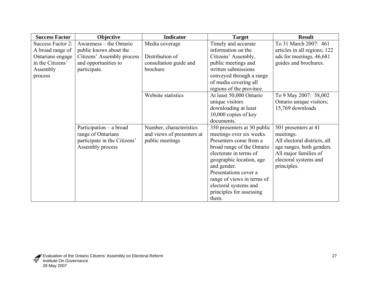| <b>Success Factor</b> | Objective                    | <b>Indicator</b>           | <b>Target</b>               | <b>Result</b>                |
|-----------------------|------------------------------|----------------------------|-----------------------------|------------------------------|
| Success Factor 2:     | Awareness – the Ontario      | Media coverage             | Timely and accurate         | To 31 March 2007: 461        |
| A broad range of      | public knows about the       |                            | information on the          | articles in all regions; 122 |
| Ontarians engage      | Citizens' Assembly process   | Distribution of            | Citizens' Assembly,         | ads for meetings, 46,681     |
| in the Citizens'      | and opportunities to         | consultation guide and     | public meetings and         | guides and brochures.        |
| Assembly              | participate.                 | brochure                   | written submissions         |                              |
| process               |                              |                            | conveyed through a range    |                              |
|                       |                              |                            | of media covering all       |                              |
|                       |                              |                            | regions of the province.    |                              |
|                       |                              | Website statistics         | At least 50,000 Ontario     | To 9 May 2007: 58,002        |
|                       |                              |                            | unique visitors             | Ontario unique visitors;     |
|                       |                              |                            | downloading at least        | 15,769 downloads             |
|                       |                              |                            | $10,000$ copies of key      |                              |
|                       |                              |                            | documents.                  |                              |
|                       | Participation - a broad      | Number, characteristics    | 350 presenters at 30 public | 501 presenters at 41         |
|                       | range of Ontarians           | and views of presenters at | meetings over six weeks.    | meetings.                    |
|                       | participate in the Citizens' | public meetings            | Presenters come from a      | All electoral districts, all |
|                       | Assembly process             |                            | broad range of the Ontario  | age ranges, both genders.    |
|                       |                              |                            | electorate in terms of      | All major families of        |
|                       |                              |                            | geographic location, age    | electoral systems and        |
|                       |                              |                            | and gender.                 | principles.                  |
|                       |                              |                            | Presentations cover a       |                              |
|                       |                              |                            | range of views in terms of  |                              |
|                       |                              |                            | electoral systems and       |                              |
|                       |                              |                            | principles for assessing    |                              |
|                       |                              |                            | them.                       |                              |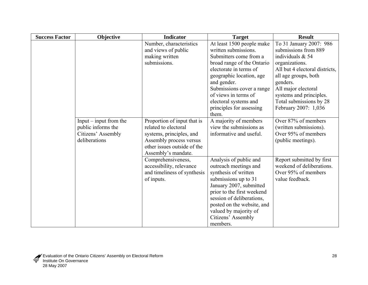| <b>Success Factor</b> | Objective                | <b>Indicator</b>            | <b>Target</b>              | <b>Result</b>                  |
|-----------------------|--------------------------|-----------------------------|----------------------------|--------------------------------|
|                       |                          | Number, characteristics     | At least 1500 people make  | To 31 January 2007: 986        |
|                       |                          | and views of public         | written submissions.       | submissions from 889           |
|                       |                          | making written              | Submitters come from a     | individuals $& 54$             |
|                       |                          | submissions.                | broad range of the Ontario | organizations.                 |
|                       |                          |                             | electorate in terms of     | All but 4 electoral districts, |
|                       |                          |                             | geographic location, age   | all age groups, both           |
|                       |                          |                             | and gender.                | genders.                       |
|                       |                          |                             | Submissions cover a range  | All major electoral            |
|                       |                          |                             | of views in terms of       | systems and principles.        |
|                       |                          |                             | electoral systems and      | Total submissions by 28        |
|                       |                          |                             | principles for assessing   | February 2007: 1,036           |
|                       |                          |                             | them.                      |                                |
|                       | $Input$ – input from the | Proportion of input that is | A majority of members      | Over 87% of members            |
|                       | public informs the       | related to electoral        | view the submissions as    | (written submissions).         |
|                       | Citizens' Assembly       | systems, principles, and    | informative and useful.    | Over 95% of members            |
|                       | deliberations            | Assembly process versus     |                            | (public meetings).             |
|                       |                          | other issues outside of the |                            |                                |
|                       |                          | Assembly's mandate.         |                            |                                |
|                       |                          | Comprehensiveness,          | Analysis of public and     | Report submitted by first      |
|                       |                          | accessibility, relevance    | outreach meetings and      | weekend of deliberations.      |
|                       |                          | and timeliness of synthesis | synthesis of written       | Over 95% of members            |
|                       |                          | of inputs.                  | submissions up to 31       | value feedback.                |
|                       |                          |                             | January 2007, submitted    |                                |
|                       |                          |                             | prior to the first weekend |                                |
|                       |                          |                             | session of deliberations,  |                                |
|                       |                          |                             | posted on the website, and |                                |
|                       |                          |                             | valued by majority of      |                                |
|                       |                          |                             | Citizens' Assembly         |                                |
|                       |                          |                             | members.                   |                                |

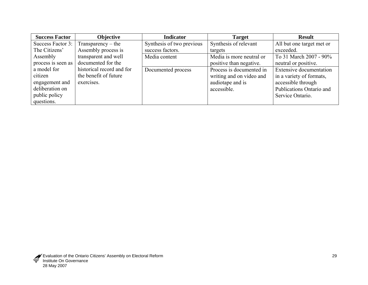| <b>Success Factor</b> | Objective                 | <b>Indicator</b>          | <b>Target</b>            | <b>Result</b>                  |
|-----------------------|---------------------------|---------------------------|--------------------------|--------------------------------|
| Success Factor 3:     | $Transparency - the$      | Synthesis of two previous | Synthesis of relevant    | All but one target met or      |
| The Citizens'         | Assembly process is       | success factors.          | targets                  | exceeded.                      |
| Assembly              | transparent and well      | Media content             | Media is more neutral or | To 31 March 2007 - 90%         |
| process is seen as    | documented for the        |                           | positive than negative.  | neutral or positive.           |
| a model for           | historical record and for | Documented process        | Process is documented in | <b>Extensive documentation</b> |
| citizen               | the benefit of future     |                           | writing and on video and | in a variety of formats,       |
| engagement and        | exercises.                |                           | audiotape and is         | accessible through             |
| deliberation on       |                           |                           | accessible.              | Publications Ontario and       |
| public policy         |                           |                           |                          | Service Ontario.               |
| questions.            |                           |                           |                          |                                |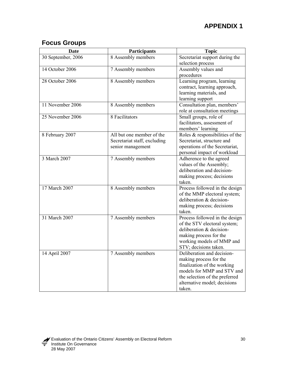# **Focus Groups**

| Date               | Participants                 | <b>Topic</b>                    |
|--------------------|------------------------------|---------------------------------|
| 30 September, 2006 | 8 Assembly members           | Secretariat support during the  |
|                    |                              | selection process               |
| 14 October 2006    | 7 Assembly members           | Assembly values and             |
|                    |                              | procedures                      |
| 28 October 2006    | 8 Assembly members           | Learning program, learning      |
|                    |                              | contract, learning approach,    |
|                    |                              | learning materials, and         |
|                    |                              | learning support                |
| 11 November 2006   | 8 Assembly members           | Consultation plan, members'     |
|                    |                              | role at consultation meetings   |
| 25 November 2006   | 8 Facilitators               | Small groups, role of           |
|                    |                              | facilitators, assessment of     |
|                    |                              | members' learning               |
| 8 February 2007    | All but one member of the    | Roles & responsibilities of the |
|                    | Secretariat staff, excluding | Secretariat, structure and      |
|                    | senior management            | operations of the Secretariat,  |
|                    |                              | personal impact of workload     |
| 3 March 2007       | 7 Assembly members           | Adherence to the agreed         |
|                    |                              | values of the Assembly;         |
|                    |                              | deliberation and decision-      |
|                    |                              | making process; decisions       |
|                    |                              | taken.                          |
| 17 March 2007      | 8 Assembly members           | Process followed in the design  |
|                    |                              | of the MMP electoral system;    |
|                    |                              | deliberation & decision-        |
|                    |                              | making process; decisions       |
|                    |                              | taken.                          |
| 31 March 2007      | 7 Assembly members           | Process followed in the design  |
|                    |                              | of the STV electoral system;    |
|                    |                              | deliberation & decision-        |
|                    |                              | making process for the          |
|                    |                              | working models of MMP and       |
|                    |                              | STV; decisions taken.           |
| 14 April 2007      | 7 Assembly members           | Deliberation and decision-      |
|                    |                              | making process for the          |
|                    |                              | finalization of the working     |
|                    |                              | models for MMP and STV and      |
|                    |                              | the selection of the preferred  |
|                    |                              | alternative model; decisions    |
|                    |                              | taken.                          |

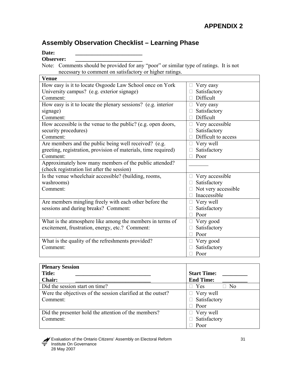# **Assembly Observation Checklist – Learning Phase**

Date:

**Observer: \_\_\_\_\_\_\_\_\_\_\_\_\_\_\_\_\_\_\_\_\_\_\_\_** 

Note: Comments should be provided for any "poor" or similar type of ratings. It is not necessary to comment on satisfactory or higher ratings.

| <b>Venue</b>                                                   |                     |
|----------------------------------------------------------------|---------------------|
| How easy is it to locate Osgoode Law School once on York       | Very easy           |
| University campus? (e.g. exterior signage)                     | Satisfactory        |
| Comment:                                                       | Difficult           |
| How easy is it to locate the plenary sessions? (e.g. interior  | Very easy           |
| signage)                                                       | Satisfactory        |
| Comment:                                                       | Difficult           |
| How accessible is the venue to the public? (e.g. open doors,   | Very accessible     |
| security procedures)                                           | Satisfactory        |
| Comment:                                                       | Difficult to access |
| Are members and the public being well received? (e.g.          | Very well           |
| greeting, registration, provision of materials, time required) | Satisfactory        |
| Comment:                                                       | Poor                |
| Approximately how many members of the public attended?         |                     |
| (check registration list after the session)                    |                     |
| Is the venue wheelchair accessible? (building, rooms,          | Very accessible     |
| washrooms)                                                     | Satisfactory        |
| Comment:                                                       | Not very accessible |
|                                                                | Inaccessible        |
| Are members mingling freely with each other before the         | Very well           |
| sessions and during breaks? Comment:                           | Satisfactory        |
|                                                                | Poor                |
| What is the atmosphere like among the members in terms of      | Very good           |
| excitement, frustration, energy, etc.? Comment:                | Satisfactory        |
|                                                                | Poor                |
| What is the quality of the refreshments provided?              | Very good           |
| Comment:                                                       | Satisfactory        |
|                                                                | Poor                |

| <b>Plenary Session</b>                                      |                       |
|-------------------------------------------------------------|-----------------------|
| <b>Title:</b>                                               | <b>Start Time:</b>    |
| <b>Chair:</b>                                               | <b>End Time:</b>      |
| Did the session start on time?                              | N <sub>0</sub><br>Yes |
| Were the objectives of the session clarified at the outset? | $\Box$ Very well      |
| Comment:                                                    | Satisfactory          |
|                                                             | Poor                  |
| Did the presenter hold the attention of the members?        | Very well<br>$\Box$   |
| Comment:                                                    | Satisfactory          |
|                                                             | Poor                  |

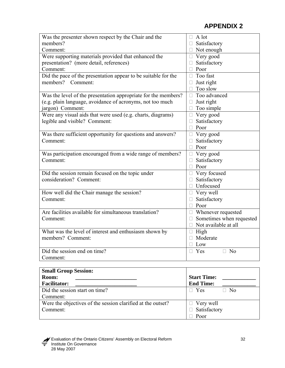| Was the presenter shown respect by the Chair and the           | A lot                              |
|----------------------------------------------------------------|------------------------------------|
| members?                                                       | Satisfactory                       |
| Comment:                                                       | $\Box$ Not enough                  |
| Were supporting materials provided that enhanced the           | $\Box$ Very good                   |
| presentation? (more detail, references)                        | Satisfactory                       |
| Comment:                                                       | Poor<br>П                          |
| Did the pace of the presentation appear to be suitable for the | Too fast<br>$\mathbf{L}$           |
| members?<br>Comment:                                           | Just right<br>П                    |
|                                                                | Too slow<br>П                      |
| Was the level of the presentation appropriate for the members? | Too advanced<br>П                  |
| (e.g. plain language, avoidance of acronyms, not too much      | Just right<br>П                    |
| jargon) Comment:                                               | Too simple<br>П                    |
| Were any visual aids that were used (e.g. charts, diagrams)    | Very good<br>$\Box$                |
| legible and visible? Comment:                                  | Satisfactory<br>$\Box$             |
|                                                                | Poor<br>$\Box$                     |
| Was there sufficient opportunity for questions and answers?    | $\Box$ Very good                   |
| Comment:                                                       | Satisfactory                       |
|                                                                | Poor<br>П                          |
| Was participation encouraged from a wide range of members?     | Very good<br>П                     |
| Comment:                                                       | Satisfactory<br>П                  |
|                                                                | Poor<br>П                          |
| Did the session remain focused on the topic under              | Very focused<br>$\Box$             |
| consideration? Comment:                                        | Satisfactory                       |
|                                                                | Unfocused<br>П                     |
| How well did the Chair manage the session?                     | $\Box$ Very well                   |
| Comment:                                                       | Satisfactory                       |
|                                                                | Poor<br>П                          |
| Are facilities available for simultaneous translation?         | Whenever requested<br>□.           |
| Comment:                                                       | Sometimes when requested           |
|                                                                | Not available at all<br>П          |
| What was the level of interest and enthusiasm shown by         | High<br>$\Box$                     |
| members? Comment:                                              | Moderate                           |
|                                                                | Low<br>П                           |
| Did the session end on time?                                   | N <sub>0</sub><br>$\Box$ Yes<br>П. |
| Comment:                                                       |                                    |

| <b>Small Group Session:</b>                                 |                              |
|-------------------------------------------------------------|------------------------------|
| Room:                                                       | <b>Start Time:</b>           |
| <b>Facilitator:</b>                                         | <b>End Time:</b>             |
| Did the session start on time?                              | N <sub>o</sub><br>$\Box$ Yes |
| Comment:                                                    |                              |
| Were the objectives of the session clarified at the outset? | $\Box$ Very well             |
| Comment:                                                    | Satisfactory                 |
|                                                             | Poor                         |

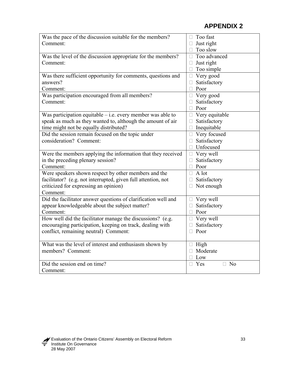| Was the pace of the discussion suitable for the members?       | Too fast                        |
|----------------------------------------------------------------|---------------------------------|
| Comment:                                                       | Just right                      |
|                                                                | Too slow<br>П                   |
| Was the level of the discussion appropriate for the members?   | Too advanced<br>□               |
| Comment:                                                       | Just right<br>П                 |
|                                                                | Too simple<br>П                 |
| Was there sufficient opportunity for comments, questions and   | Very good<br>$\Box$             |
| answers?                                                       | Satisfactory                    |
| Comment:                                                       | Poor<br>П                       |
| Was participation encouraged from all members?                 | Very good<br>$\Box$             |
| Comment:                                                       | Satisfactory<br>П               |
|                                                                | Poor<br>□                       |
| Was participation equitable $-$ i.e. every member was able to  | Very equitable<br>$\Box$        |
| speak as much as they wanted to, although the amount of air    | Satisfactory<br>П               |
| time might not be equally distributed?                         | Inequitable<br>П                |
| Did the session remain focused on the topic under              | $\Box$ Very focused             |
| consideration? Comment:                                        | Satisfactory<br>П               |
|                                                                | Unfocused<br>П                  |
| Were the members applying the information that they received   | Very well<br>П                  |
| in the preceding plenary session?                              | Satisfactory<br>П               |
| Comment:                                                       | Poor<br>П                       |
| Were speakers shown respect by other members and the           | A lot<br>П                      |
| facilitator? (e.g. not interrupted, given full attention, not  | Satisfactory                    |
| criticized for expressing an opinion)                          | Not enough<br>П                 |
| Comment:                                                       |                                 |
| Did the facilitator answer questions of clarification well and | Very well<br>$\Box$             |
| appear knowledgeable about the subject matter?                 | Satisfactory<br>П               |
| Comment:                                                       | $\Box$<br>Poor                  |
| How well did the facilitator manage the discussions? (e.g.     | Very well<br>$\Box$             |
| encouraging participation, keeping on track, dealing with      | Satisfactory<br>$\Box$          |
| conflict, remaining neutral) Comment:                          | Poor<br>П                       |
|                                                                |                                 |
| What was the level of interest and enthusiasm shown by         | High<br>$\Box$                  |
| members? Comment:                                              | Moderate                        |
|                                                                | Low                             |
| Did the session end on time?                                   | N <sub>0</sub><br>Yes<br>П<br>П |
| Comment:                                                       |                                 |

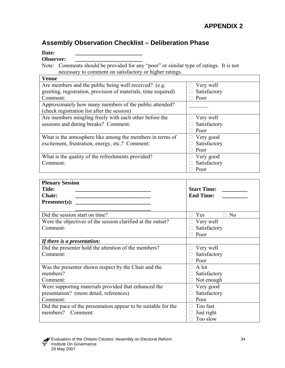# **Assembly Observation Checklist – Deliberation Phase**

Date:

**Observer: \_\_\_\_\_\_\_\_\_\_\_\_\_\_\_\_\_\_\_\_\_\_\_\_** 

Note: Comments should be provided for any "poor" or similar type of ratings. It is not necessary to comment on satisfactory or higher ratings.

| <b>Venue</b>                                                   |              |
|----------------------------------------------------------------|--------------|
| Are members and the public being well received? (e.g.          | Very well    |
| greeting, registration, provision of materials, time required) | Satisfactory |
| Comment:                                                       | Poor         |
| Approximately how many members of the public attended?         |              |
| (check registration list after the session)                    |              |
| Are members mingling freely with each other before the         | Very well    |
| sessions and during breaks? Comment:                           | Satisfactory |
|                                                                | Poor         |
| What is the atmosphere like among the members in terms of      | Very good    |
| excitement, frustration, energy, etc.? Comment:                | Satisfactory |
|                                                                | Poor         |
| What is the quality of the refreshments provided?              | Very good    |
| Comment:                                                       | Satisfactory |
|                                                                | Poor         |

| <b>Plenary Session</b>                                         |                                  |
|----------------------------------------------------------------|----------------------------------|
| <b>Title:</b>                                                  | <b>Start Time:</b>               |
| <b>Chair:</b>                                                  | <b>End Time:</b>                 |
| Presenter(s):                                                  |                                  |
|                                                                |                                  |
| Did the session start on time?                                 | Yes<br>$\Box$ No<br>$\mathbf{L}$ |
| Were the objectives of the session clarified at the outset?    | Very well                        |
| Comment:                                                       | Satisfactory                     |
|                                                                | Poor                             |
| If there is a presentation:                                    |                                  |
| Did the presenter hold the attention of the members?           | Very well<br>Ш                   |
| Comment:                                                       | Satisfactory                     |
|                                                                | Poor                             |
| Was the presenter shown respect by the Chair and the           | A lot                            |
| members?                                                       | Satisfactory                     |
| Comment:                                                       | Not enough                       |
| Were supporting materials provided that enhanced the           | Very good                        |
| presentation? (more detail, references)                        | Satisfactory                     |
| Comment:                                                       | Poor                             |
| Did the pace of the presentation appear to be suitable for the | Too fast                         |
| members?<br>Comment:                                           | Just right                       |
|                                                                | Too slow                         |

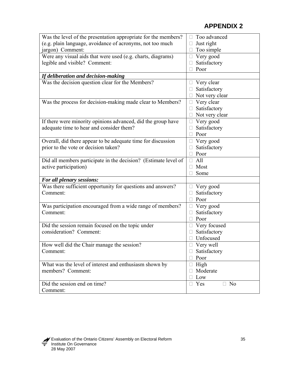| Was the level of the presentation appropriate for the members?  | Too advanced                 |
|-----------------------------------------------------------------|------------------------------|
| (e.g. plain language, avoidance of acronyms, not too much       | Just right                   |
| jargon) Comment:                                                | Too simple                   |
| Were any visual aids that were used (e.g. charts, diagrams)     | Very good<br>$\Box$          |
| legible and visible? Comment:                                   | Satisfactory                 |
|                                                                 | Poor                         |
| If deliberation and decision-making                             |                              |
| Was the decision question clear for the Members?                | Very clear<br>$\Box$         |
|                                                                 | Satisfactory                 |
|                                                                 | Not very clear               |
| Was the process for decision-making made clear to Members?      | Very clear                   |
|                                                                 | Satisfactory                 |
|                                                                 | Not very clear               |
|                                                                 |                              |
| If there were minority opinions advanced, did the group have    | Very good                    |
| adequate time to hear and consider them?                        | Satisfactory                 |
|                                                                 | Poor                         |
| Overall, did there appear to be adequate time for discussion    | Very good                    |
| prior to the vote or decision taken?                            | Satisfactory                 |
|                                                                 | Poor                         |
| Did all members participate in the decision? (Estimate level of | All<br>П                     |
| active participation)                                           | Most                         |
|                                                                 | Some                         |
| For all plenary sessions:                                       |                              |
| Was there sufficient opportunity for questions and answers?     | Very good                    |
| Comment:                                                        | Satisfactory                 |
|                                                                 | Poor<br>П                    |
| Was participation encouraged from a wide range of members?      | Very good                    |
| Comment:                                                        | Satisfactory                 |
|                                                                 | Poor                         |
| Did the session remain focused on the topic under               | Very focused                 |
| consideration? Comment:                                         | Satisfactory                 |
|                                                                 | Unfocused                    |
| How well did the Chair manage the session?                      | Very well                    |
| Comment:                                                        | Satisfactory                 |
|                                                                 | Poor<br>П                    |
| What was the level of interest and enthusiasm shown by          | High<br>$\Box$               |
| members? Comment:                                               | Moderate                     |
|                                                                 | Low                          |
| Did the session end on time?                                    | $\Box$ Yes<br>N <sub>0</sub> |
| Comment:                                                        |                              |
|                                                                 |                              |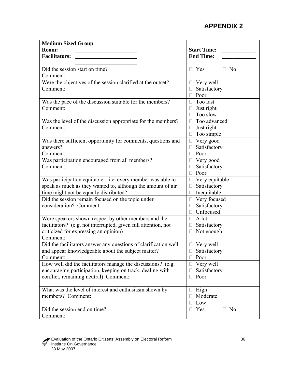| <b>Medium Sized Group</b>                                       |                                                 |
|-----------------------------------------------------------------|-------------------------------------------------|
| Room:                                                           | <b>Start Time:</b>                              |
| <b>Facilitators:</b>                                            | <b>End Time:</b>                                |
|                                                                 |                                                 |
| Did the session start on time?                                  | $\Box$ Yes<br>N <sub>0</sub>                    |
| Comment:                                                        |                                                 |
| Were the objectives of the session clarified at the outset?     | Very well<br>□                                  |
| Comment:                                                        | Satisfactory                                    |
|                                                                 | Poor<br>$\Box$                                  |
| Was the pace of the discussion suitable for the members?        | Too fast<br>$\mathbf{L}$                        |
| Comment:                                                        | Just right                                      |
|                                                                 | Too slow                                        |
| Was the level of the discussion appropriate for the members?    | Too advanced<br>$\mathbf{L}$                    |
| Comment:                                                        | Just right                                      |
|                                                                 | Too simple                                      |
| Was there sufficient opportunity for comments, questions and    | Very good<br>□                                  |
| answers?                                                        | Satisfactory                                    |
| Comment:                                                        | Poor                                            |
| Was participation encouraged from all members?                  | Very good                                       |
| Comment:                                                        | Satisfactory                                    |
|                                                                 | Poor<br>П                                       |
| Was participation equitable $-$ i.e. every member was able to   | Very equitable                                  |
| speak as much as they wanted to, although the amount of air     | Satisfactory                                    |
| time might not be equally distributed?                          | Inequitable                                     |
| Did the session remain focused on the topic under               | Very focused<br>П                               |
| consideration? Comment:                                         | Satisfactory                                    |
|                                                                 | Unfocused                                       |
| Were speakers shown respect by other members and the            | A lot<br>П                                      |
| facilitators? (e.g. not interrupted, given full attention, not  | Satisfactory                                    |
| criticized for expressing an opinion)                           | Not enough                                      |
| Comment:                                                        |                                                 |
| Did the facilitators answer any questions of clarification well | $\Box$ Very well                                |
| and appear knowledgeable about the subject matter?              | Satisfactory                                    |
| Comment:                                                        | Poor                                            |
| How well did the facilitators manage the discussions? (e.g.     | Very well<br>Ш                                  |
| encouraging participation, keeping on track, dealing with       | Satisfactory                                    |
| conflict, remaining neutral) Comment:                           | Poor                                            |
| What was the level of interest and enthusiasm shown by          | High<br>Ц                                       |
| members? Comment:                                               | Moderate                                        |
|                                                                 | Low                                             |
| Did the session end on time?                                    | Yes<br>N <sub>0</sub><br>$\Box$<br>$\mathbf{L}$ |
| Comment:                                                        |                                                 |

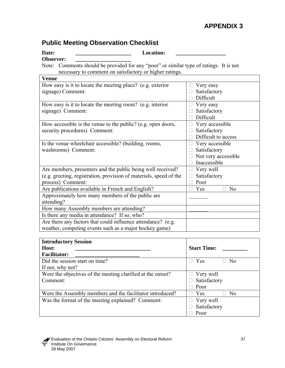# **Public Meeting Observation Checklist**

Date: **Location:** 

Observer:

Note: Comments should be provided for any "poor" or similar type of ratings. It is not necessary to comment on satisfactory or higher ratings.

| <b>Venue</b>                                                       |                       |
|--------------------------------------------------------------------|-----------------------|
| How easy is it to locate the meeting place? (e.g. exterior         | Very easy             |
| signage) Comment:                                                  | Satisfactory          |
|                                                                    | Difficult             |
| How easy is it to locate the meeting room? (e.g. interior          | Very easy             |
| signage) Comment:                                                  | Satisfactory          |
|                                                                    | Difficult             |
| How accessible is the venue to the public? (e.g. open doors,       | Very accessible       |
| security procedures) Comment:                                      | Satisfactory          |
|                                                                    | Difficult to access   |
| Is the venue wheelchair accessible? (building, rooms,              | Very accessible       |
| washrooms) Comment:                                                | Satisfactory          |
|                                                                    | Not very accessible   |
|                                                                    | Inaccessible          |
| Are members, presenters and the public being well received?        | Very well             |
| (e.g. greeting, registration, provision of materials, speed of the | Satisfactory          |
| process) Comment:                                                  | Poor                  |
| Are publications available in French and English?                  | Yes<br>N <sub>0</sub> |
| Approximately how many members of the public are                   |                       |
| attending?                                                         |                       |
| How many Assembly members are attending?                           |                       |
| Is there any media in attendance? If so, who?                      |                       |
| Are there any factors that could influence attendance? (e.g.       |                       |
| weather, competing events such as a major hockey game)             |                       |

| <b>Introductory Session</b>                                 |                              |
|-------------------------------------------------------------|------------------------------|
| Host:                                                       | <b>Start Time:</b>           |
| <b>Facilitator:</b>                                         |                              |
| Did the session start on time?                              | $\Box$ Yes<br>N <sub>0</sub> |
| If not, why not?                                            |                              |
| Were the objectives of the meeting clarified at the outset? | $\Box$ Very well             |
| Comment:                                                    | Satisfactory                 |
|                                                             | Poor                         |
| Were the Assembly members and the facilitator introduced?   | $\Box$ Yes<br>No             |
| Was the format of the meeting explained? Comment:           | Very well<br>$\Box$          |
|                                                             | Satisfactory                 |
|                                                             | Poor                         |

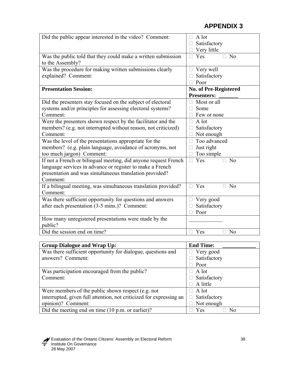| Did the public appear interested in the video? Comment:                           | A lot<br>Satisfactory                |  |  |
|-----------------------------------------------------------------------------------|--------------------------------------|--|--|
|                                                                                   | Very little                          |  |  |
| Was the public told that they could make a written submission<br>to the Assembly? | $\Box$ Yes<br>$\Box$ No              |  |  |
| Was the procedure for making written submissions clearly                          | Very well                            |  |  |
| explained? Comment:                                                               | Satisfactory                         |  |  |
|                                                                                   | Poor                                 |  |  |
| <b>Presentation Session:</b>                                                      | No. of Pre-Registered                |  |  |
|                                                                                   | <b>Presenters:</b>                   |  |  |
| Did the presenters stay focused on the subject of electoral                       | Most or all                          |  |  |
| systems and/or principles for assessing electoral systems?                        | Some                                 |  |  |
| Comment:                                                                          | Few or none                          |  |  |
| Were the presenters shown respect by the facilitator and the                      | A lot<br>П                           |  |  |
| members? (e.g. not interrupted without reason, not criticized)                    | Satisfactory                         |  |  |
| Comment:                                                                          | Not enough                           |  |  |
| Was the level of the presentations appropriate for the                            | Too advanced                         |  |  |
| members? (e.g. plain language, avoidance of acronyms, not                         | Just right                           |  |  |
| too much jargon) Comment:                                                         | Too simple                           |  |  |
| If not a French or bilingual meeting, did anyone request French                   | Yes<br>N <sub>o</sub><br>$\Box$      |  |  |
| language services in advance or register to make a French                         |                                      |  |  |
| presentation and was simultaneous translation provided?                           |                                      |  |  |
| Comment:                                                                          |                                      |  |  |
| If a bilingual meeting, was simultaneous translation provided?                    | Yes<br>N <sub>0</sub><br>$\Box$<br>П |  |  |
| Comment:                                                                          |                                      |  |  |
| Was there sufficient opportunity for questions and answers                        | Very good                            |  |  |
| after each presentation (3-5 mins.)? Comment:                                     | Satisfactory                         |  |  |
|                                                                                   | Poor                                 |  |  |
| How many unregistered presentations were made by the                              |                                      |  |  |
| public?                                                                           |                                      |  |  |
| Did the session end on time?                                                      | Yes<br>N <sub>o</sub>                |  |  |

| <b>Group Dialogue and Wrap Up:</b>                                  | <b>End Time:</b> |  |  |  |
|---------------------------------------------------------------------|------------------|--|--|--|
| Was there sufficient opportunity for dialogue, questions and        | $\Box$ Very good |  |  |  |
| answers? Comment:                                                   | Satisfactory     |  |  |  |
|                                                                     | Poor             |  |  |  |
| Was participation encouraged from the public?                       | $\Box$ A lot     |  |  |  |
| Comment:                                                            | Satisfactory     |  |  |  |
|                                                                     | A little         |  |  |  |
| Were members of the public shown respect (e.g. not                  | A lot            |  |  |  |
| interrupted, given full attention, not criticized for expressing an | Satisfactory     |  |  |  |
| opinion)? Comment:                                                  | Not enough       |  |  |  |
| Did the meeting end on time $(10 \text{ p.m. or earlier})$ ?        | Yes<br>Nο        |  |  |  |

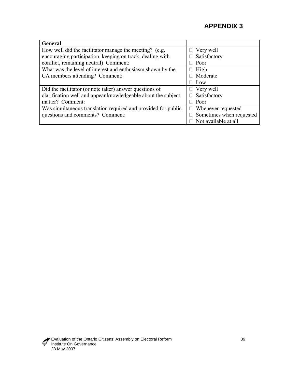| <b>General</b>                                                |                           |
|---------------------------------------------------------------|---------------------------|
| How well did the facilitator manage the meeting? (e.g.        | Very well                 |
| encouraging participation, keeping on track, dealing with     | Satisfactory              |
| conflict, remaining neutral) Comment:                         | Poor                      |
| What was the level of interest and enthusiasm shown by the    | High<br>$\mathbf{L}$      |
| CA members attending? Comment:                                | Moderate                  |
|                                                               | Low                       |
| Did the facilitator (or note taker) answer questions of       | $\Box$ Very well          |
| clarification well and appear knowledgeable about the subject | Satisfactory<br>П         |
| matter? Comment:                                              | Poor                      |
| Was simultaneous translation required and provided for public | $\Box$ Whenever requested |
| questions and comments? Comment:                              | Sometimes when requested  |
|                                                               | Not available at all      |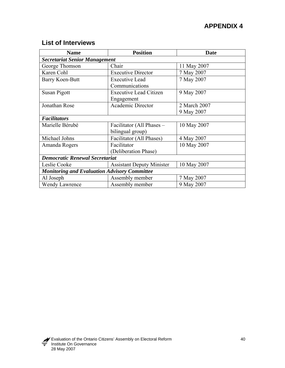# **List of Interviews**

| <b>Name</b>                                         | <b>Position</b>                  | Date         |  |  |  |  |
|-----------------------------------------------------|----------------------------------|--------------|--|--|--|--|
| <b>Secretariat Senior Management</b>                |                                  |              |  |  |  |  |
| George Thomson                                      | Chair                            | 11 May 2007  |  |  |  |  |
| Karen Cohl                                          | <b>Executive Director</b>        | 7 May 2007   |  |  |  |  |
| Barry Koen-Butt                                     | <b>Executive Lead</b>            | 7 May 2007   |  |  |  |  |
|                                                     | Communications                   |              |  |  |  |  |
| Susan Pigott                                        | <b>Executive Lead Citizen</b>    | 9 May 2007   |  |  |  |  |
|                                                     | Engagement                       |              |  |  |  |  |
| Jonathan Rose                                       | <b>Academic Director</b>         | 2 March 2007 |  |  |  |  |
|                                                     |                                  | 9 May 2007   |  |  |  |  |
| <b>Facilitators</b>                                 |                                  |              |  |  |  |  |
| Marielle Bérubé                                     | Facilitator (All Phases -        | 10 May 2007  |  |  |  |  |
|                                                     | bilingual group)                 |              |  |  |  |  |
| Michael Johns                                       | Facilitator (All Phases)         | 4 May 2007   |  |  |  |  |
| Amanda Rogers                                       | Facilitator                      | 10 May 2007  |  |  |  |  |
|                                                     | (Deliberation Phase)             |              |  |  |  |  |
| <b>Democratic Renewal Secretariat</b>               |                                  |              |  |  |  |  |
| Leslie Cooke                                        | <b>Assistant Deputy Minister</b> | 10 May 2007  |  |  |  |  |
| <b>Monitoring and Evaluation Advisory Committee</b> |                                  |              |  |  |  |  |
| Al Joseph                                           | Assembly member                  | 7 May 2007   |  |  |  |  |
| <b>Wendy Lawrence</b>                               | Assembly member                  | 9 May 2007   |  |  |  |  |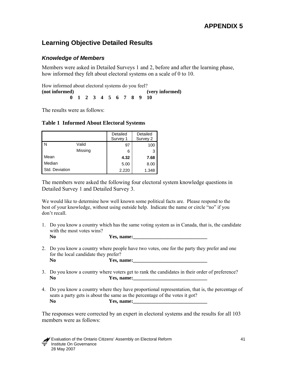# **Learning Objective Detailed Results**

### *Knowledge of Members*

Members were asked in Detailed Surveys 1 and 2, before and after the learning phase, how informed they felt about electoral systems on a scale of 0 to 10.

How informed about electoral systems do you feel? **(not informed) (very informed) 0 1 2 3 4 5 6 7 8 9 10** 

The results were as follows:

|  | <b>Table 1 Informed About Electoral Systems</b> |  |  |  |
|--|-------------------------------------------------|--|--|--|
|--|-------------------------------------------------|--|--|--|

|                |         | Detailed<br>Survey 1 | Detailed<br>Survey 2 |
|----------------|---------|----------------------|----------------------|
| l N            | Valid   | 97                   | 100                  |
|                | Missing | 6                    | 3                    |
| Mean           |         | 4.32                 | 7.68                 |
| Median         |         | 5.00                 | 8.00                 |
| Std. Deviation |         | 2.220                | 1.348                |

The members were asked the following four electoral system knowledge questions in Detailed Survey 1 and Detailed Survey 3.

We would like to determine how well known some political facts are. Please respond to the best of your knowledge, without using outside help. Indicate the name or circle "no" if you don't recall.

1. Do you know a country which has the same voting system as in Canada, that is, the candidate with the most votes wins?

No **Yes, name:** <u>*No* **Yes, name:** *No No No No No No No No No No No No No No No No No No No No No No No No No No No***</u>** 

- 2. Do you know a country where people have two votes, one for the party they prefer and one for the local candidate they prefer? No Yes, name:
- 3. Do you know a country where voters get to rank the candidates in their order of preference? No Yes, name:
- 4. Do you know a country where they have proportional representation, that is, the percentage of seats a party gets is about the same as the percentage of the votes it got? No Yes, name:

The responses were corrected by an expert in electoral systems and the results for all 103 members were as follows:

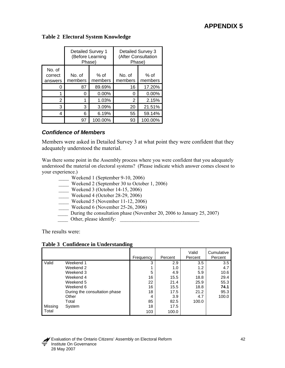### **Table 2 Electoral System Knowledge**

|                              | <b>Detailed Survey 1</b><br>(Before Learning<br>Phase) |         | Detailed Survey 3<br>(After Consultation<br>Phase) |                 |
|------------------------------|--------------------------------------------------------|---------|----------------------------------------------------|-----------------|
| No. of<br>correct<br>answers | No. of<br>% of<br>members<br>members                   |         | No. of<br>members                                  | % of<br>members |
| O                            | 87                                                     | 89.69%  | 16                                                 | 17.20%          |
|                              | 0                                                      | 0.00%   | O                                                  | 0.00%           |
| 2                            |                                                        | 1.03%   | 2                                                  | 2.15%           |
| 3                            | 3                                                      | 3.09%   | 20                                                 | 21.51%          |
| 4                            | 6                                                      | 6.19%   | 55                                                 | 59.14%          |
|                              | 97                                                     | 100.00% | 93                                                 | 100.00%         |

#### *Confidence of Members*

Members were asked in Detailed Survey 3 at what point they were confident that they adequately understood the material.

Was there some point in the Assembly process where you were confident that you adequately understood the material on electoral systems? (Please indicate which answer comes closest to your experience.)

- \_\_\_\_ Weekend 1 (September 9-10, 2006)
- Weekend 2 (September 30 to October 1, 2006)
- \_\_\_\_ Weekend 3 (October 14-15, 2006)
- \_\_\_\_ Weekend 4 (October 28-29, 2006)
- \_\_\_\_ Weekend 5 (November 11-12, 2006)
	- Weekend 6 (November 25-26, 2006)
	- During the consultation phase (November 20, 2006 to January 25, 2007)
	- Other, please identify:

The results were:

#### **Table 3 Confidence in Understanding**

|         |                               | Frequency | Percent | Valid<br>Percent | Cumulative<br>Percent |
|---------|-------------------------------|-----------|---------|------------------|-----------------------|
| Valid   | Weekend 1                     | 3         | 2.9     | 3.5              | 3.5                   |
|         | Weekend 2                     |           | 1.0     | 1.2              | 4.7                   |
|         | Weekend 3                     | 5         | 4.9     | 5.9              | 10.6                  |
|         | Weekend 4                     | 16        | 15.5    | 18.8             | 29.4                  |
|         | Weekend 5                     | 22        | 21.4    | 25.9             | 55.3                  |
|         | Weekend 6                     | 16        | 15.5    | 18.8             | 74.1                  |
|         | During the consultation phase | 18        | 17.5    | 21.2             | 95.3                  |
|         | Other                         | 4         | 3.9     | 4.7              | 100.0                 |
|         | Total                         | 85        | 82.5    | 100.0            |                       |
| Missing | System                        | 18        | 17.5    |                  |                       |
| Total   |                               | 103       | 100.0   |                  |                       |

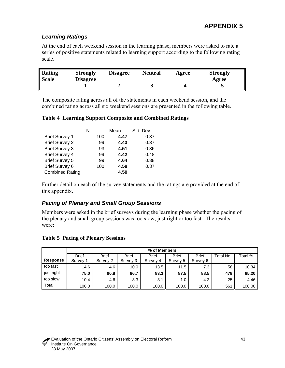## *Learning Ratings*

At the end of each weekend session in the learning phase, members were asked to rate a series of positive statements related to learning support according to the following rating scale.

| Rating       | <b>Strongly</b> |  | Disagree       |  | <b>Strongly</b> |
|--------------|-----------------|--|----------------|--|-----------------|
| <b>Scale</b> | <b>Disagree</b> |  | <b>Neutral</b> |  | Agree           |
|              |                 |  | ັ              |  |                 |

The composite rating across all of the statements in each weekend session, and the combined rating across all six weekend sessions are presented in the following table.

#### **Table 4 Learning Support Composite and Combined Ratings**

|                        | N   | Mean | Std. Dev |
|------------------------|-----|------|----------|
| <b>Brief Survey 1</b>  | 100 | 4.47 | 0.37     |
| <b>Brief Survey 2</b>  | 99  | 4.43 | 0.37     |
| <b>Brief Survey 3</b>  | 93  | 4.51 | 0.36     |
| <b>Brief Survey 4</b>  | 99  | 4.42 | 0.48     |
| <b>Brief Survey 5</b>  | 99  | 4.64 | 0.38     |
| <b>Brief Survey 6</b>  | 100 | 4.58 | 0.37     |
| <b>Combined Rating</b> |     | 4.50 |          |

Further detail on each of the survey statements and the ratings are provided at the end of this appendix.

## *Pacing of Plenary and Small Group Sessions*

Members were asked in the brief surveys during the learning phase whether the pacing of the plenary and small group sessions was too slow, just right or too fast. The results were:

#### **Table 5 Pacing of Plenary Sessions**

|                 |              | % of Members |              |              |              |              |           |         |
|-----------------|--------------|--------------|--------------|--------------|--------------|--------------|-----------|---------|
|                 | <b>Brief</b> | <b>Brief</b> | <b>Brief</b> | <b>Brief</b> | <b>Brief</b> | <b>Brief</b> | Total No. | Total % |
| <b>Response</b> | Survey 1     | Survey 2     | Survey 3     | Survey 4     | Survey 5     | Survey 6     |           |         |
| too fast        | 14.6         | 4.6          | 10.0         | 13.5         | 11.5         | 7.3          | 58        | 10.34   |
| just right      | 75.0         | 90.8         | 86.7         | 83.3         | 87.5         | 88.5         | 478       | 85.20   |
| too slow        | 10.4         | 4.6          | 3.3          | 3.1          | 1.0          | 4.2          | 25        | 4.46    |
| Total           | 100.0        | 100.0        | 100.0        | 100.0        | 100.0        | 100.0        | 561       | 100.00  |

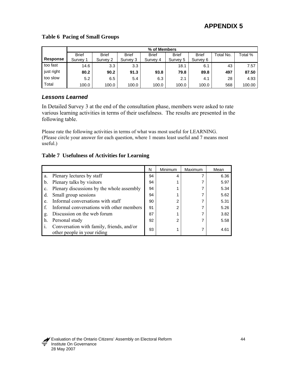#### **Table 6 Pacing of Small Groups**

|                 | % of Members |              |              |              |              |              |           |         |
|-----------------|--------------|--------------|--------------|--------------|--------------|--------------|-----------|---------|
|                 | <b>Brief</b> | <b>Brief</b> | <b>Brief</b> | <b>Brief</b> | <b>Brief</b> | <b>Brief</b> | Total No. | Total % |
| <b>Response</b> | Survey 1     | Survey 2     | Survey 3     | Survey 4     | Survey 5     | Survey 6     |           |         |
| too fast        | 14.6         | 3.3          | 3.3          |              | 18.1         | 6.1          | 43        | 7.57    |
| just right      | 80.2         | 90.2         | 91.3         | 93.8         | 79.8         | 89.8         | 497       | 87.50   |
| too slow        | 5.2          | 6.5          | 5.4          | 6.3          | 2.1          | 4.1          | 28        | 4.93    |
| Total           | 100.0        | 100.0        | 100.0        | 100.0        | 100.0        | 100.0        | 568       | 100.00  |

## *Lessons Learned*

In Detailed Survey 3 at the end of the consultation phase, members were asked to rate various learning activities in terms of their usefulness. The results are presented in the following table.

Please rate the following activities in terms of what was most useful for LEARNING. (Please circle your answer for each question, where 1 means least useful and 7 means most useful.)

### **Table 7 Usefulness of Activities for Learning**

|                |                                                                          | N  | Minimum | <b>Maximum</b> | Mean |
|----------------|--------------------------------------------------------------------------|----|---------|----------------|------|
| a.             | Plenary lectures by staff                                                | 94 | 4       |                | 6.36 |
| b.             | Plenary talks by visitors                                                | 94 |         |                | 5.97 |
| $\mathbf{c}$ . | Plenary discussions by the whole assembly                                | 94 |         |                | 5.34 |
| d.             | Small group sessions                                                     | 94 |         |                | 5.62 |
| e.             | Informal conversations with staff                                        | 90 | 2       |                | 5.31 |
|                | Informal conversations with other members                                | 91 | 2       |                | 5.26 |
| g.             | Discussion on the web forum                                              | 87 |         |                | 3.82 |
| h.             | Personal study                                                           | 92 | 2       |                | 5.58 |
|                | Conversation with family, friends, and/or<br>other people in your riding | 93 |         |                | 4.61 |

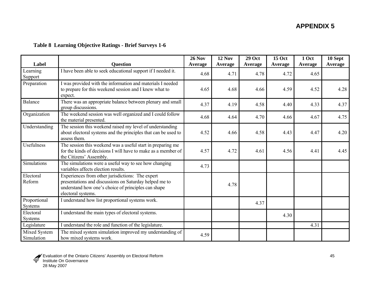### **Table 8 Learning Objective Ratings - Brief Surveys 1-6**

| Label                          | <b>Question</b>                                                                                                                                                                         | <b>26 Nov</b><br><b>Average</b> | <b>12 Nov</b><br><b>Average</b> | <b>29 Oct</b><br><b>Average</b> | <b>15 Oct</b><br><b>Average</b> | 1 Oct<br><b>Average</b> | 10 Sept<br><b>Average</b> |
|--------------------------------|-----------------------------------------------------------------------------------------------------------------------------------------------------------------------------------------|---------------------------------|---------------------------------|---------------------------------|---------------------------------|-------------------------|---------------------------|
| Learning<br>Support            | I have been able to seek educational support if I needed it.                                                                                                                            | 4.68                            | 4.71                            | 4.78                            | 4.72                            | 4.65                    |                           |
| Preparation                    | I was provided with the information and materials I needed<br>to prepare for this weekend session and I knew what to<br>expect.                                                         | 4.65                            | 4.68                            | 4.66                            | 4.59                            | 4.52                    | 4.28                      |
| <b>Balance</b>                 | There was an appropriate balance between plenary and small<br>group discussions.                                                                                                        | 4.37                            | 4.19                            | 4.58                            | 4.40                            | 4.33                    | 4.37                      |
| Organization                   | The weekend session was well organized and I could follow<br>the material presented.                                                                                                    | 4.68                            | 4.64                            | 4.70                            | 4.66                            | 4.67                    | 4.75                      |
| Understanding                  | The session this weekend raised my level of understanding<br>about electoral systems and the principles that can be used to<br>assess them.                                             | 4.52                            | 4.66                            | 4.58                            | 4.43                            | 4.47                    | 4.20                      |
| Usefulness                     | The session this weekend was a useful start in preparing me<br>for the kinds of decisions I will have to make as a member of<br>the Citizens' Assembly.                                 | 4.57                            | 4.72                            | 4.61                            | 4.56                            | 4.41                    | 4.45                      |
| Simulations                    | The simulations were a useful way to see how changing<br>variables affects election results.                                                                                            | 4.73                            |                                 |                                 |                                 |                         |                           |
| Electoral<br>Reform            | Experiences from other jurisdictions: The expert<br>presentations and discussions on Saturday helped me to<br>understand how one's choice of principles can shape<br>electoral systems. |                                 | 4.78                            |                                 |                                 |                         |                           |
| Proportional<br><b>Systems</b> | I understand how list proportional systems work.                                                                                                                                        |                                 |                                 | 4.37                            |                                 |                         |                           |
| Electoral<br>Systems           | I understand the main types of electoral systems.                                                                                                                                       |                                 |                                 |                                 | 4.30                            |                         |                           |
| Legislature                    | I understand the role and function of the legislature.                                                                                                                                  |                                 |                                 |                                 |                                 | 4.31                    |                           |
| Mixed System<br>Simulation     | The mixed system simulation improved my understanding of<br>how mixed systems work.                                                                                                     | 4.59                            |                                 |                                 |                                 |                         |                           |

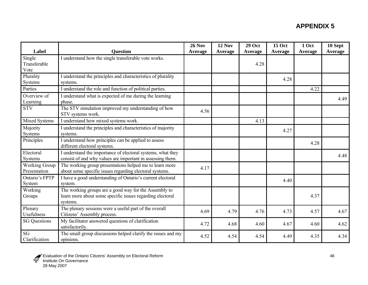| Label                      |                                                                           | <b>26 Nov</b> | <b>12 Nov</b> | <b>29 Oct</b> | <b>15 Oct</b> | 1 Oct   | 10 Sept        |
|----------------------------|---------------------------------------------------------------------------|---------------|---------------|---------------|---------------|---------|----------------|
|                            | <b>Question</b>                                                           | Average       | Average       | Average       | Average       | Average | <b>Average</b> |
| Single<br>Transferable     | I understand how the single transferable vote works.                      |               |               |               |               |         |                |
| Vote                       |                                                                           |               |               | 4.28          |               |         |                |
| Plurality                  | I understand the principles and characteristics of plurality              |               |               |               |               |         |                |
| <b>Systems</b>             | systems.                                                                  |               |               |               | 4.28          |         |                |
| Parties                    | I understand the role and function of political parties.                  |               |               |               |               | 4.22    |                |
| Overview of                | I understand what is expected of me during the learning                   |               |               |               |               |         |                |
| Learning                   | phase.                                                                    |               |               |               |               |         | 4.49           |
| <b>STV</b>                 | The STV simulation improved my understanding of how<br>STV systems work.  | 4.56          |               |               |               |         |                |
| Mixed Systems              | I understand how mixed systems work.                                      |               |               | 4.13          |               |         |                |
| Majority                   | I understand the principles and characteristics of majority               |               |               |               | 4.27          |         |                |
| Systems                    | systems.                                                                  |               |               |               |               |         |                |
| Principles                 | I understand how principles can be applied to assess                      |               |               |               |               | 4.28    |                |
|                            | different electoral systems.                                              |               |               |               |               |         |                |
| Electoral                  | I understand the importance of electoral systems, what they               |               |               |               |               |         | 4.48           |
| Systems                    | consist of and why values are important in assessing them.                |               |               |               |               |         |                |
| <b>Working Group</b>       | The working group presentations helped me to learn more                   | 4.17          |               |               |               |         |                |
| Presentation               | about some specific issues regarding electoral systems.                   |               |               |               |               |         |                |
| Ontario's FPTP             | I have a good understanding of Ontario's current electoral                |               |               |               | 4.40          |         |                |
| System                     | system.                                                                   |               |               |               |               |         |                |
| Working                    | The working groups are a good way for the Assembly to                     |               |               |               |               |         |                |
| Groups                     | learn more about some specific issues regarding electoral<br>systems.     |               |               |               |               | 4.37    |                |
| Plenary                    | The plenary sessions were a useful part of the overall                    | 4.69          | 4.79          | 4.76          | 4.73          | 4.57    | 4.67           |
| <b>Usefulness</b>          | Citizens' Assembly process.                                               |               |               |               |               |         |                |
| <b>SG Questions</b>        | My facilitator answered questions of clarification<br>satisfactorily.     | 4.72          | 4.68          | 4.60          | 4.67          | 4.60    | 4.62           |
| <b>SG</b><br>Clarification | The small group discussions helped clarify the issues and my<br>opinions. | 4.52          | 4.54          | 4.54          | 4.49          | 4.35    | 4.34           |

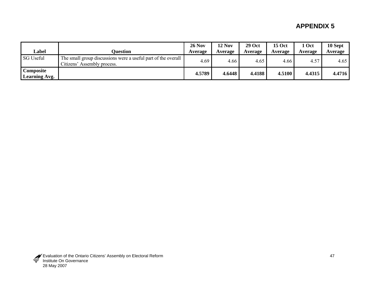|                                   |                                                                                              | <b>26 Nov</b> | <b>12 Nov</b> | <b>29 Oct</b> | <b>15 Oct</b> | Oct     | 10 Sept |
|-----------------------------------|----------------------------------------------------------------------------------------------|---------------|---------------|---------------|---------------|---------|---------|
| Label                             | Ouestion                                                                                     | Average       | Average       | Average       | Average       | Average | Average |
| <b>SG Useful</b>                  | The small group discussions were a useful part of the overall<br>Citizens' Assembly process. | 4.69          | 4.66          | 4.65          | 4.66          | 4.57    | 4.65    |
| Composite<br><b>Learning Avg.</b> |                                                                                              | 4.5789        | 4.6448        | 4.4188        | 4.5100        | 4.4315  | 4.4716  |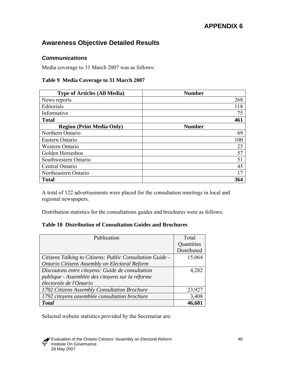# **Awareness Objective Detailed Results**

### *Communications*

Media coverage to 31 March 2007 was as follows:

#### **Table 9 Media Coverage to 31 March 2007**

| <b>Type of Articles (All Media)</b> | <b>Number</b> |
|-------------------------------------|---------------|
| News reports                        | 268           |
| Editorials                          | 118           |
| Informative                         | 75            |
| <b>Total</b>                        | 461           |
| <b>Region (Print Media Only)</b>    | <b>Number</b> |
| Northern Ontario                    | 69            |
| Eastern Ontario                     | 100           |
| Western Ontario                     | 25            |
| Golden Horseshoe                    | 57            |
| Southwestern Ontario                | 51            |
| Central Ontario                     | 45            |
| Northeastern Ontario                | 17            |
| <b>Total</b>                        | 364           |

A total of 122 advertisements were placed for the consultation meetings in local and regional newspapers.

Distribution statistics for the consultations guides and brochures were as follows:

### **Table 10 Distribution of Consultation Guides and Brochures**

| Publication                                               | Total       |
|-----------------------------------------------------------|-------------|
|                                                           | Quantities  |
|                                                           | Distributed |
| Citizens Talking to Citizens: Public Consultation Guide - | 15,064      |
| Ontario Citizens Assembly on Electoral Reform             |             |
| Discoutons entre citoyens: Guide de consultation          | 4,282       |
| publique - Assemblée des citoyens sur la réforme          |             |
| électorale de l'Ontario                                   |             |
| 1792 Citizens Assembly Consultation Brochure              | 23,927      |
| 1792 citoyens assemblée consultation brochure             | 3,408       |
| <b>Total</b>                                              | 46,681      |

Selected website statistics provided by the Secretariat are:

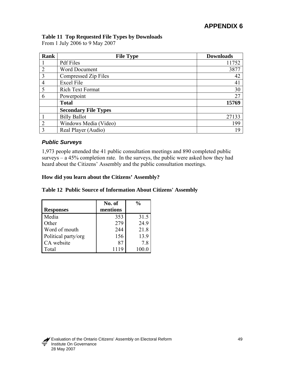## **Table 11 Top Requested File Types by Downloads**

From 1 July 2006 to 9 May 2007

| <b>Rank</b>    | <b>File Type</b>            | <b>Downloads</b> |
|----------------|-----------------------------|------------------|
|                | <b>Pdf</b> Files            | 11752            |
| $\overline{2}$ | <b>Word Document</b>        | 3877             |
| 3              | Compressed Zip Files        | 42               |
| $\overline{4}$ | <b>Excel File</b>           | 41               |
| 5              | Rich Text Format            | 30               |
| 6              | Powerpoint                  | 27               |
|                | <b>Total</b>                | 15769            |
|                | <b>Secondary File Types</b> |                  |
|                | <b>Billy Ballot</b>         | 27133            |
| $\overline{2}$ | Windows Media (Video)       | 199              |
| 3              | Real Player (Audio)         | 19               |

### *Public Surveys*

1,973 people attended the 41 public consultation meetings and 890 completed public surveys – a 45% completion rate. In the surveys, the public were asked how they had heard about the Citizens' Assembly and the public consultation meetings.

### **How did you learn about the Citizens' Assembly?**

|                     | No. of   | $\frac{0}{0}$ |
|---------------------|----------|---------------|
| <b>Responses</b>    | mentions |               |
| Media               | 353      | 31.5          |
| Other               | 279      | 24.9          |
| Word of mouth       | 244      | 21.8          |
| Political party/org | 156      | 13.9          |
| CA website          | 87       | 78            |
| [otal               | 1119     |               |

#### **Table 12 Public Source of Information About Citizens' Assembly**

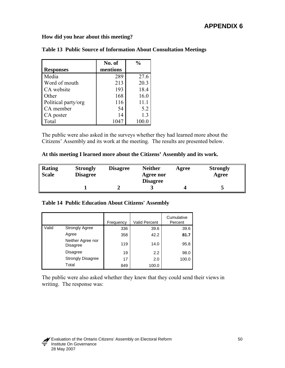**How did you hear about this meeting?** 

|                     | No. of   | $\frac{0}{0}$ |
|---------------------|----------|---------------|
| <b>Responses</b>    | mentions |               |
| Media               | 289      | 27.6          |
| Word of mouth       | 213      | 20.3          |
| CA website          | 193      | 18.4          |
| Other               | 168      | 16.0          |
| Political party/org | 116      | 11.1          |
| CA member           | 54       | 5.2           |
| CA poster           | 14       | 1.3           |
| Total               | 1047     | 100.0         |

|  | Table 13 Public Source of Information About Consultation Meetings |  |  |  |  |
|--|-------------------------------------------------------------------|--|--|--|--|
|--|-------------------------------------------------------------------|--|--|--|--|

The public were also asked in the surveys whether they had learned more about the Citizens' Assembly and its work at the meeting. The results are presented below.

#### **At this meeting I learned more about the Citizens' Assembly and its work.**

| Rating<br><b>Scale</b> | <b>Strongly</b><br><b>Disagree</b> | <b>Disagree</b> | <b>Neither</b><br>Agree nor<br><b>Disagree</b> | Agree | <b>Strongly</b><br>Agree |
|------------------------|------------------------------------|-----------------|------------------------------------------------|-------|--------------------------|
|                        |                                    |                 |                                                |       | ັ                        |

#### **Table 14 Public Education About Citizens' Assembly**

|       |                               | Frequency | <b>Valid Percent</b> | Cumulative<br>Percent |
|-------|-------------------------------|-----------|----------------------|-----------------------|
| Valid | <b>Strongly Agree</b>         | 336       | 39.6                 | 39.6                  |
|       | Agree                         | 358       | 42.2                 | 81.7                  |
|       | Neither Agree nor<br>Disagree | 119       | 14.0                 | 95.8                  |
|       | Disagree                      | 19        | 2.2                  | 98.0                  |
|       | <b>Strongly Disagree</b>      | 17        | 2.0                  | 100.0                 |
|       | Total                         | 849       | 100.0                |                       |

The public were also asked whether they knew that they could send their views in writing. The response was:

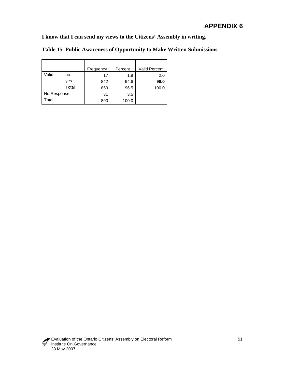**I know that I can send my views to the Citizens' Assembly in writing.** 

|             |       | Frequency | Percent | <b>Valid Percent</b> |
|-------------|-------|-----------|---------|----------------------|
| Valid       | no    | 17        | 1.9     | 2.0                  |
|             | yes   | 842       | 94.6    | 98.0                 |
|             | Total | 859       | 96.5    | 100.0                |
| No Response |       | 31        | 3.5     |                      |
| Total       |       | 890       | 100.0   |                      |

**Table 15 Public Awareness of Opportunity to Make Written Submissions**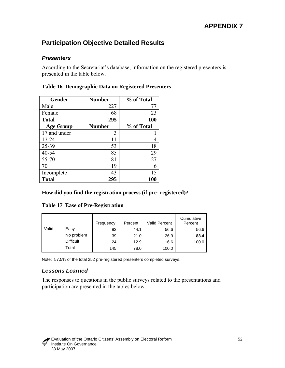# **Participation Objective Detailed Results**

### *Presenters*

According to the Secretariat's database, information on the registered presenters is presented in the table below.

| <b>Gender</b>    | <b>Number</b> | % of Total |
|------------------|---------------|------------|
| Male             | 227           | 77         |
| Female           | 68            | 23         |
| <b>Total</b>     | 295           | <b>100</b> |
| <b>Age Group</b> | <b>Number</b> | % of Total |
| 17 and under     | 3             |            |
| 17-24            | 11            | 4          |
| 25-39            | 53            | 18         |
| 40-54            | 85            | 29         |
| 55-70            | 81            | 27         |
| $70+$            | 19            | 6          |
| Incomplete       | 43            | 15         |
| <b>Total</b>     | 295           | 100        |

#### **Table 16 Demographic Data on Registered Presenters**

#### **How did you find the registration process (if pre- registered)?**

#### **Table 17 Ease of Pre-Registration**

|       |                  | Frequency | Percent | Valid Percent | Cumulative<br>Percent |
|-------|------------------|-----------|---------|---------------|-----------------------|
| Valid | Easy             | 82        | 44.1    | 56.6          | 56.6                  |
|       | No problem       | 39        | 21.0    | 26.9          | 83.4                  |
|       | <b>Difficult</b> | 24        | 12.9    | 16.6          | 100.0                 |
|       | Total            | 145       | 78.0    | 100.0         |                       |

Note: 57.5% of the total 252 pre-registered presenters completed surveys.

### *Lessons Learned*

The responses to questions in the public surveys related to the presentations and participation are presented in the tables below.

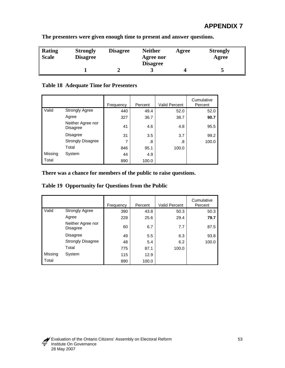| Rating<br><b>Scale</b> | <b>Strongly</b><br><b>Disagree</b> | <b>Disagree</b> | <b>Neither</b><br>Agree nor<br><b>Disagree</b> | Agree | <b>Strongly</b><br>Agree |
|------------------------|------------------------------------|-----------------|------------------------------------------------|-------|--------------------------|
|                        |                                    |                 |                                                |       | ت                        |

**The presenters were given enough time to present and answer questions.** 

## **Table 18 Adequate Time for Presenters**

|         |                                      | Frequency | Percent | <b>Valid Percent</b> | Cumulative<br>Percent |
|---------|--------------------------------------|-----------|---------|----------------------|-----------------------|
| Valid   | <b>Strongly Agree</b>                | 440       | 49.4    | 52.0                 | 52.0                  |
|         | Agree                                | 327       | 36.7    | 38.7                 | 90.7                  |
|         | Neither Agree nor<br><b>Disagree</b> | 41        | 4.6     | 4.8                  | 95.5                  |
|         | <b>Disagree</b>                      | 31        | 3.5     | 3.7                  | 99.2                  |
|         | <b>Strongly Disagree</b>             | 7         | .8      | .8                   | 100.0                 |
|         | Total                                | 846       | 95.1    | 100.0                |                       |
| Missing | System                               | 44        | 4.9     |                      |                       |
| Total   |                                      | 890       | 100.0   |                      |                       |

### **There was a chance for members of the public to raise questions.**

|  | Table 19 Opportunity for Questions from the Public |  |  |
|--|----------------------------------------------------|--|--|
|--|----------------------------------------------------|--|--|

|         |                                      | Frequency | Percent | <b>Valid Percent</b> | Cumulative<br>Percent |
|---------|--------------------------------------|-----------|---------|----------------------|-----------------------|
| Valid   | <b>Strongly Agree</b>                | 390       | 43.8    | 50.3                 | 50.3                  |
|         | Agree                                | 228       | 25.6    | 29.4                 | 79.7                  |
|         | Neither Agree nor<br><b>Disagree</b> | 60        | 6.7     | 7.7                  | 87.5                  |
|         | <b>Disagree</b>                      | 49        | 5.5     | 6.3                  | 93.8                  |
|         | <b>Strongly Disagree</b>             | 48        | 5.4     | 6.2                  | 100.0                 |
|         | Total                                | 775       | 87.1    | 100.0                |                       |
| Missing | System                               | 115       | 12.9    |                      |                       |
| Total   |                                      | 890       | 100.0   |                      |                       |

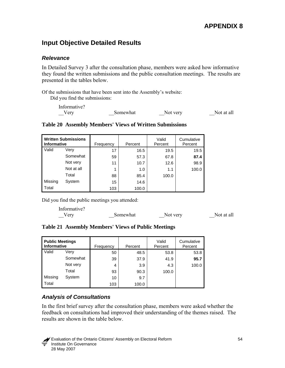# **Input Objective Detailed Results**

#### *Relevance*

In Detailed Survey 3 after the consultation phase, members were asked how informative they found the written submissions and the public consultation meetings. The results are presented in the tables below.

Of the submissions that have been sent into the Assembly's website:

Did you find the submissions:

| Informative? |          |          |            |
|--------------|----------|----------|------------|
| $\sqrt{2}$   | Somewhat | Not very | Not at all |

| <b>Written Submissions</b><br><b>Informative</b> |            | Frequency | Percent | Valid<br>Percent | Cumulative<br>Percent |
|--------------------------------------------------|------------|-----------|---------|------------------|-----------------------|
| Valid                                            | Verv       | 17        | 16.5    | 19.5             | 19.5                  |
|                                                  | Somewhat   | 59        | 57.3    | 67.8             | 87.4                  |
|                                                  | Not very   | 11        | 10.7    | 12.6             | 98.9                  |
|                                                  | Not at all |           | 1.0     | 1.1              | 100.0                 |
|                                                  | Total      | 88        | 85.4    | 100.0            |                       |
| Missing                                          | System     | 15        | 14.6    |                  |                       |
| Total                                            |            | 103       | 100.0   |                  |                       |

#### **Table 20 Assembly Members' Views of Written Submissions**

Did you find the public meetings you attended:

```
Informative? 
 Somewhat Not very Not at all
```
**Table 21 Assembly Members' Views of Public Meetings** 

| <b>Public Meetings</b><br><b>Informative</b> |          | Frequency | Percent | Valid<br>Percent | Cumulative<br>Percent |
|----------------------------------------------|----------|-----------|---------|------------------|-----------------------|
| Valid                                        | Verv     | 50        | 48.5    | 53.8             | 53.8                  |
|                                              | Somewhat | 39        | 37.9    | 41.9             | 95.7                  |
|                                              | Not very | 4         | 3.9     | 4.3              | 100.0                 |
|                                              | Total    | 93        | 90.3    | 100.0            |                       |
| Missing                                      | System   | 10        | 9.7     |                  |                       |
| Total                                        |          | 103       | 100.0   |                  |                       |

## *Analysis of Consultations*

In the first brief survey after the consultation phase, members were asked whether the feedback on consultations had improved their understanding of the themes raised. The results are shown in the table below.

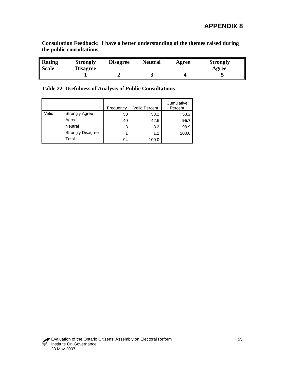**Consultation Feedback: I have a better understanding of the themes raised during the public consultations.** 

| Rating<br><b>Scale</b> | <b>Strongly</b><br><b>Disagree</b> | <b>Disagree</b> | <b>Neutral</b> | Agree | <b>Strongly</b><br>Agree |
|------------------------|------------------------------------|-----------------|----------------|-------|--------------------------|
|                        |                                    |                 | ັ              |       |                          |

**Table 22 Usefulness of Analysis of Public Consultations** 

|       |                          | Frequency | Valid Percent | Cumulative<br>Percent |
|-------|--------------------------|-----------|---------------|-----------------------|
| Valid | <b>Strongly Agree</b>    | 50        | 53.2          | 53.2                  |
|       | Agree                    | 40        | 42.6          | 95.7                  |
|       | <b>Neutral</b>           | 3         | 3.2           | 98.9                  |
|       | <b>Strongly Disagree</b> | 1         | 1.1           | 100.0                 |
|       | Total                    | 94        | 100.0         |                       |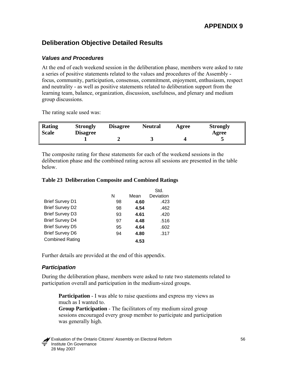# **Deliberation Objective Detailed Results**

#### *Values and Procedures*

At the end of each weekend session in the deliberation phase, members were asked to rate a series of positive statements related to the values and procedures of the Assembly focus, community, participation, consensus, commitment, enjoyment, enthusiasm, respect and neutrality - as well as positive statements related to deliberation support from the learning team, balance, organization, discussion, usefulness, and plenary and medium group discussions.

The rating scale used was:

| <b>Rating</b><br><b>Scale</b> | <b>Strongly</b><br><b>Disagree</b> | <b>Disagree</b> | <b>Neutral</b> | Agree | <b>Strongly</b><br>Agree |
|-------------------------------|------------------------------------|-----------------|----------------|-------|--------------------------|
|                               |                                    |                 | ັ              |       | ັ                        |

The composite rating for these statements for each of the weekend sessions in the deliberation phase and the combined rating across all sessions are presented in the table below.

#### **Table 23 Deliberation Composite and Combined Ratings**

|                        |    |      | Std.      |
|------------------------|----|------|-----------|
|                        | N  | Mean | Deviation |
| <b>Brief Survey D1</b> | 98 | 4.60 | .423      |
| <b>Brief Survey D2</b> | 98 | 4.54 | .462      |
| <b>Brief Survey D3</b> | 93 | 4.61 | .420      |
| <b>Brief Survey D4</b> | 97 | 4.48 | .516      |
| <b>Brief Survey D5</b> | 95 | 4.64 | .602      |
| <b>Brief Survey D6</b> | 94 | 4.80 | .317      |
| <b>Combined Rating</b> |    | 4.53 |           |

Further details are provided at the end of this appendix.

#### *Participation*

During the deliberation phase, members were asked to rate two statements related to participation overall and participation in the medium-sized groups.

**Participation** - I was able to raise questions and express my views as much as I wanted to.

**Group Participation** - The facilitators of my medium sized group sessions encouraged every group member to participate and participation was generally high.

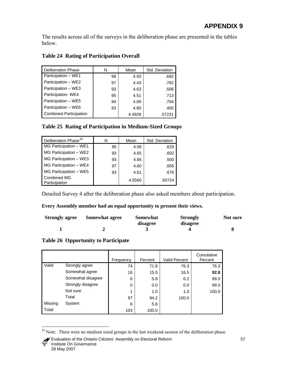<span id="page-63-0"></span>The results across all of the surveys in the deliberation phase are presented in the tables below.

### **Table 24 Rating of Participation Overall**

| <b>Deliberation Phase</b>     | N  | Mean   | Std. Deviation |
|-------------------------------|----|--------|----------------|
| Participation - WE1           | 98 | 4.50   | .692           |
| Participation - WE2           | 97 | 4.43   | .762           |
| Participation - WE3           | 93 | 4.63   | .506           |
| Participation-WE4             | 95 | 4.51   | .713           |
| Participation - WE5           | 94 | 4.69   | .704           |
| Participation - WE6           | 93 | 4.80   | .405           |
| <b>Combined Participation</b> |    | 4.4928 | .57231         |

### **Table 25 Rating of Participation in Medium-Sized Groups**

| Deliberation Phase <sup>26</sup> |    | Mean   | Std. Deviation |
|----------------------------------|----|--------|----------------|
| MG Participation - WE1           | 95 | 4.58   | .629           |
| MG Participation - WE2           | 93 | 4.65   | .602           |
| MG Participation - WE3           | 93 | 4.66   | .500           |
| MG Participation - WE4           | 97 | 4.60   | .656           |
| MG Participation - WE5           | 93 | 4.61   | .676           |
| Combined MG<br>Participation     |    | 4.5560 | .50724         |

Detailed Survey 4 after the deliberation phase also asked members about participation.

#### **Every Assembly member had an equal opportunity to present their views.**

| <b>Strongly agree</b> | <b>Somewhat agree</b> | Somewhat | <b>Strongly</b> | Not sure |
|-----------------------|-----------------------|----------|-----------------|----------|
|                       |                       | disagree | disagree        |          |
|                       |                       |          |                 |          |

### **Table 26 Opportunity to Participate**

 $\overline{a}$ 

|         |                   | Frequency | Percent | <b>Valid Percent</b> | Cumulative<br>Percent |
|---------|-------------------|-----------|---------|----------------------|-----------------------|
| Valid   | Strongly agree    | 74        | 71.8    | 76.3                 | 76.3                  |
|         | Somewhat agree    | 16        | 15.5    | 16.5                 | 92.8                  |
|         | Somewhat disagree | 6         | 5.8     | 6.2                  | 99.0                  |
|         | Strongly disagree | $\Omega$  | 0.0     | 0.0                  | 99.0                  |
|         | Not sure          |           | 1.0     | 1.0                  | 100.0                 |
|         | Total             | 97        | 94.2    | 100.0                |                       |
| Missing | System            | 6         | 5.8     |                      |                       |
| Total   |                   | 103       | 100.0   |                      |                       |

<sup>&</sup>lt;sup>26</sup> Note: There were no medium sized groups in the last weekend session of the deliberation phase.

Evaluation of the Ontario Citizens' Assembly on Electoral Reform 57 Institute On Governance 28 May 2007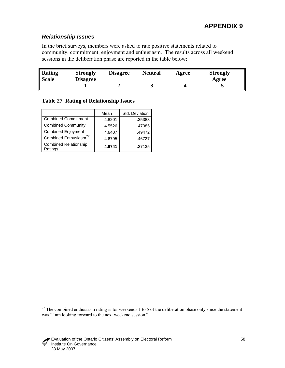## <span id="page-64-0"></span>*Relationship Issues*

In the brief surveys, members were asked to rate positive statements related to community, commitment, enjoyment and enthusiasm. The results across all weekend sessions in the deliberation phase are reported in the table below:

| Rating<br><b>Scale</b> | <b>Strongly</b><br><b>Disagree</b> | <b>Disagree</b> | <b>Neutral</b> | Agree | <b>Strongly</b><br>Agree |
|------------------------|------------------------------------|-----------------|----------------|-------|--------------------------|
|                        |                                    |                 |                |       |                          |

### **Table 27 Rating of Relationship Issues**

|                                         | Mean   | Std. Deviation |
|-----------------------------------------|--------|----------------|
| <b>Combined Commitment</b>              | 4.8201 | .35383         |
| <b>Combined Community</b>               | 4.5526 | .47085         |
| <b>Combined Enjoyment</b>               | 4.6407 | .49472         |
| Combined Enthusiasm <sup>27</sup>       | 4.6795 | .46727         |
| <b>Combined Relationship</b><br>Ratings | 4.6741 | .37135         |

 $27$  The combined enthusiasm rating is for weekends 1 to 5 of the deliberation phase only since the statement was "I am looking forward to the next weekend session."



 $\overline{a}$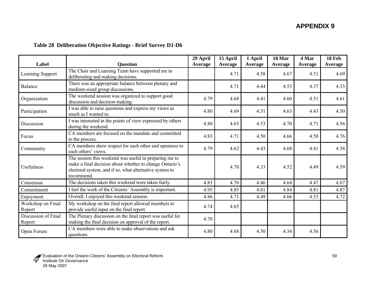# **Table 28 Deliberation Objective Ratings - Brief Survey D1-D6**

| Label                         | <b>Question</b>                                                                                                                                                                            | 29 April | 15 April | 1 April | 18 Mar  | 4 Mar   | 18 Feb  |
|-------------------------------|--------------------------------------------------------------------------------------------------------------------------------------------------------------------------------------------|----------|----------|---------|---------|---------|---------|
|                               |                                                                                                                                                                                            | Average  | Average  | Average | Average | Average | Average |
| Learning Support              | The Chair and Learning Team have supported me in<br>deliberating and making decisions.                                                                                                     |          | 4.71     | 4.58    | 4.67    | 4.51    | 4.69    |
| Balance                       | There was an appropriate balance between plenary and<br>medium-sized group discussions.                                                                                                    |          | 4.71     | 4.44    | 4.53    | 4.37    | 4.33    |
| Organization                  | The weekend session was organized to support good<br>discussion and decision-making.                                                                                                       | 4.79     | 4.68     | 4.41    | 4.60    | 4.51    | 4.61    |
| Participation                 | I was able to raise questions and express my views as<br>much as I wanted to.                                                                                                              | 4.80     | 4.69     | 4.51    | 4.63    | 4.43    | 4.50    |
| Discussion                    | I was interested in the points of view expressed by others<br>during the weekend.                                                                                                          | 4.80     | 4.65     | 4.53    | 4.70    | 4.71    | 4.56    |
| Focus                         | CA members are focused on the mandate and committed<br>to the process.                                                                                                                     | 4.83     | 4.71     | 4.50    | 4.66    | 4.58    | 4.76    |
| Community                     | CA members show respect for each other and openness to<br>each others' views.                                                                                                              | 4.79     | 4.62     | 4.43    | 4.68    | 4.41    | 4.58    |
| <b>Usefulness</b>             | The session this weekend was useful in preparing me to<br>make a final decision about whether to change Ontario's<br>electoral system, and if so, what alternative system to<br>recommend. |          | 4.70     | 4.33    | 4.52    | 4.49    | 4.59    |
| Consensus                     | The decisions taken this weekend were taken fairly.                                                                                                                                        | 4.83     | 4.76     | 4.46    | 4.64    | 4.47    | 4.67    |
| Commitment                    | I feel the work of the Citizens' Assembly is important.                                                                                                                                    | 4.95     | 4.85     | 4.81    | 4.84    | 4.81    | 4.87    |
| Enjoyment                     | Overall, I enjoyed this weekend session.                                                                                                                                                   | 4.86     | 4.71     | 4.49    | 4.66    | 4.53    | 4.72    |
| Workshop on Final<br>Report   | My workshop on the final report allowed members to<br>provide useful input on the final report.                                                                                            | 4.74     | 4.65     |         |         |         |         |
| Discussion of Final<br>Report | The Plenary discussion on the final report was useful for<br>making the final decision on approval of the report.                                                                          | 4.70     |          |         |         |         |         |
| Open Forum                    | CA members were able to make observations and ask<br>questions.                                                                                                                            | 4.80     | 4.68     | 4.50    | 4.34    | 4.56    |         |

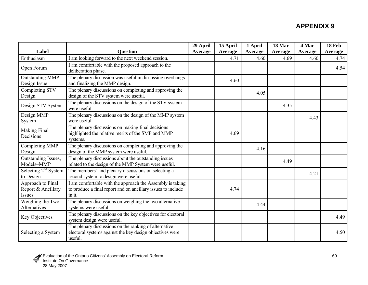| Label                                             | <b>Question</b>                                                                                                                     | 29 April<br>Average | 15 April<br>Average | 1 April<br>Average | 18 Mar<br>Average | 4 Mar<br>Average | 18 Feb<br>Average |
|---------------------------------------------------|-------------------------------------------------------------------------------------------------------------------------------------|---------------------|---------------------|--------------------|-------------------|------------------|-------------------|
| Enthusiasm                                        | I am looking forward to the next weekend session.                                                                                   |                     | 4.71                | 4.60               | 4.69              | 4.60             | 4.74              |
| Open Forum                                        | I am comfortable with the proposed approach to the<br>deliberation phase.                                                           |                     |                     |                    |                   |                  | 4.54              |
| <b>Outstanding MMP</b><br>Design Issue            | The plenary discussion was useful in discussing overhangs<br>and finalizing the MMP design.                                         |                     | 4.60                |                    |                   |                  |                   |
| Completing STV<br>Design                          | The plenary discussions on completing and approving the<br>design of the STV system were useful.                                    |                     |                     | 4.05               |                   |                  |                   |
| Design STV System                                 | The plenary discussions on the design of the STV system<br>were useful.                                                             |                     |                     |                    | 4.35              |                  |                   |
| Design MMP<br>System                              | The plenary discussions on the design of the MMP system<br>were useful.                                                             |                     |                     |                    |                   | 4.43             |                   |
| <b>Making Final</b><br>Decisions                  | The plenary discussions on making final decisions<br>highlighted the relative merits of the SMP and MMP<br>systems.                 |                     | 4.69                |                    |                   |                  |                   |
| Completing MMP<br>Design                          | The plenary discussions on completing and approving the<br>design of the MMP system were useful.                                    |                     |                     | 4.16               |                   |                  |                   |
| Outstanding Issues,<br>Models-MMP                 | The plenary discussions about the outstanding issues<br>related to the design of the MMP System were useful.                        |                     |                     |                    | 4.49              |                  |                   |
| Selecting $2nd$ System<br>to Design               | The members' and plenary discussions on selecting a<br>second system to design were useful.                                         |                     |                     |                    |                   | 4.21             |                   |
| Approach to Final<br>Report & Ancillary<br>Issues | I am comfortable with the approach the Assembly is taking<br>to produce a final report and on ancillary issues to include<br>in it. |                     | 4.74                |                    |                   |                  |                   |
| Weighing the Two<br>Alternatives                  | The plenary discussions on weighing the two alternative<br>systems were useful.                                                     |                     |                     | 4.44               |                   |                  |                   |
| Key Objectives                                    | The plenary discussions on the key objectives for electoral<br>system design were useful.                                           |                     |                     |                    |                   |                  | 4.49              |
| Selecting a System                                | The plenary discussions on the ranking of alternative<br>electoral systems against the key design objectives were<br>useful.        |                     |                     |                    |                   |                  | 4.50              |

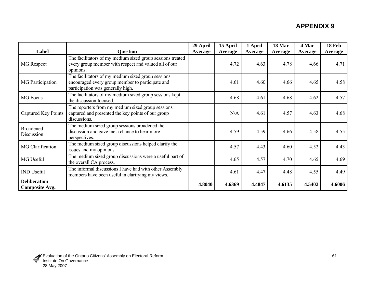|                                              |                                                                                                                                             | 29 April | 15 April | 1 April | 18 Mar  | 4 Mar   | 18 Feb  |
|----------------------------------------------|---------------------------------------------------------------------------------------------------------------------------------------------|----------|----------|---------|---------|---------|---------|
| Label                                        | <b>Question</b>                                                                                                                             | Average  | Average  | Average | Average | Average | Average |
| <b>MG</b> Respect                            | The facilitators of my medium sized group sessions treated<br>every group member with respect and valued all of our<br>opinions.            |          | 4.72     | 4.63    | 4.78    | 4.66    | 4.71    |
| <b>MG</b> Participation                      | The facilitators of my medium sized group sessions<br>encouraged every group member to participate and<br>participation was generally high. |          | 4.61     | 4.60    | 4.66    | 4.65    | 4.58    |
| <b>MG Focus</b>                              | The facilitators of my medium sized group sessions kept<br>the discussion focused.                                                          |          | 4.68     | 4.61    | 4.68    | 4.62    | 4.57    |
| Captured Key Points                          | The reporters from my medium sized group sessions<br>captured and presented the key points of our group<br>discussions.                     |          | N/A      | 4.61    | 4.57    | 4.63    | 4.68    |
| <b>Broadened</b><br>Discussion               | The medium sized group sessions broadened the<br>discussion and gave me a chance to hear more<br>perspectives.                              |          | 4.59     | 4.59    | 4.66    | 4.58    | 4.55    |
| MG Clarification                             | The medium sized group discussions helped clarify the<br>issues and my opinions.                                                            |          | 4.57     | 4.43    | 4.60    | 4.52    | 4.43    |
| MG Useful                                    | The medium sized group discussions were a useful part of<br>the overall CA process.                                                         |          | 4.65     | 4.57    | 4.70    | 4.65    | 4.69    |
| <b>IND</b> Useful                            | The informal discussions I have had with other Assembly<br>members have been useful in clarifying my views.                                 |          | 4.61     | 4.47    | 4.48    | 4.55    | 4.49    |
| <b>Deliberation</b><br><b>Composite Avg.</b> |                                                                                                                                             | 4.8040   | 4.6369   | 4.4847  | 4.6135  | 4.5402  | 4.6006  |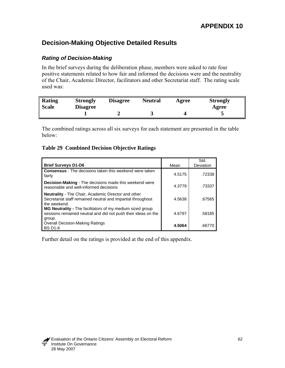# **Decision-Making Objective Detailed Results**

### *Rating of Decision-Making*

In the brief surveys during the deliberation phase, members were asked to rate four positive statements related to how fair and informed the decisions were and the neutrality of the Chair, Academic Director, facilitators and other Secretariat staff. The rating scale used was:

| Rating<br><b>Scale</b> | <b>Strongly</b><br><b>Disagree</b> | <b>Disagree</b> | <b>Neutral</b> |  | <b>Strongly</b><br>Agree |
|------------------------|------------------------------------|-----------------|----------------|--|--------------------------|
|                        |                                    |                 |                |  |                          |

The combined ratings across all six surveys for each statement are presented in the table below:

#### **Table 29 Combined Decision Objective Ratings**

| <b>Brief Surveys D1-D6</b>                                                                                                                | Mean   | Std.<br>Deviation |
|-------------------------------------------------------------------------------------------------------------------------------------------|--------|-------------------|
| <b>Consensus</b> - The decisions taken this weekend were taken<br>fairly                                                                  | 4.5175 | .72338            |
| <b>Decision-Making</b> - The decisions made this weekend were<br>reasonable and well-informed decisions                                   | 4.3779 | .73337            |
| <b>Neutrality</b> - The Chair, Academic Director and other<br>Secretariat staff remained neutral and impartial throughout<br>the weekend. | 4.5638 | .67565            |
| MG Neutrality - The facilitators of my medium sized group<br>sessions remained neutral and did not push their ideas on the<br>group.      | 4.6797 | .58185            |
| <b>Overall Decision-Making Ratings</b><br><b>BS D1-6</b>                                                                                  | 4.5064 | .6677             |

Further detail on the ratings is provided at the end of this appendix.

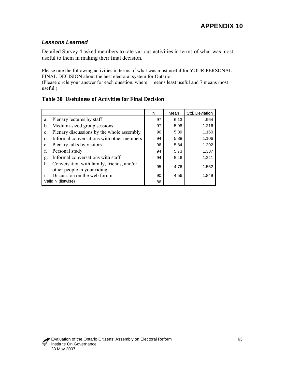## *Lessons Learned*

Detailed Survey 4 asked members to rate various activities in terms of what was most useful to them in making their final decision.

Please rate the following activities in terms of what was most useful for YOUR PERSONAL FINAL DECISION about the best electoral system for Ontario.

(Please circle your answer for each question, where 1 means least useful and 7 means most useful.)

### **Table 30 Usefulness of Activities for Final Decision**

|       |                                                                          | N  | Mean | Std. Deviation |
|-------|--------------------------------------------------------------------------|----|------|----------------|
| a.    | Plenary lectures by staff                                                | 97 | 6.13 | .964           |
| b.    | Medium-sized group sessions                                              | 97 | 5.98 | 1.216          |
| C.    | Plenary discussions by the whole assembly                                | 96 | 5.89 | 1.160          |
| $d$ . | Informal conversations with other members                                | 94 | 5.88 | 1.106          |
| e.    | Plenary talks by visitors                                                | 96 | 5.84 | 1.292          |
| f.    | Personal study                                                           | 94 | 5.73 | 1.337          |
| g.    | Informal conversations with staff                                        | 94 | 5.46 | 1.241          |
| h.    | Conversation with family, friends, and/or<br>other people in your riding | 95 | 4.76 | 1.562          |
|       | Discussion on the web forum                                              | 90 | 4.56 | 1.849          |
|       | Valid N (listwise)                                                       | 86 |      |                |

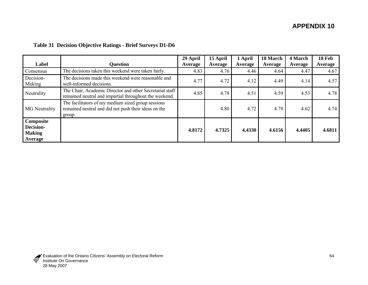| Label                                                     | <b>Question</b>                                                                                                      | 29 April<br>Average | 15 April<br>Average | 1 April<br>Average | 18 March<br>Average | 4 March<br>Average | 18 Feb<br>Average |
|-----------------------------------------------------------|----------------------------------------------------------------------------------------------------------------------|---------------------|---------------------|--------------------|---------------------|--------------------|-------------------|
| Consensus                                                 | The decisions taken this weekend were taken fairly.                                                                  | 4.83                | 4.76                | 4.46               | 4.64                | 4.47               | 4.67              |
| Decision-<br>Making                                       | The decisions made this weekend were reasonable and<br>well-informed decisions.                                      | 4.77                | 4.72                | 4.12               | 4.49                | 4.14               | 4.57              |
| Neutrality                                                | The Chair, Academic Director and other Secretariat staff<br>remained neutral and impartial throughout the weekend.   | 4.85                | 4.78                | 4.51               | 4.59                | 4.53               | 4.78              |
| <b>MG</b> Neutrality                                      | The facilitators of my medium sized group sessions<br>remained neutral and did not push their ideas on the<br>group. |                     | 4.80                | 4.72               | 4.78                | 4.62               | 4.74              |
| Composite<br><b>Decision-</b><br><b>Making</b><br>Average |                                                                                                                      | 4.8172              | 4.7325              | 4.4330             | 4.6156              | 4.4405             | 4.6811            |

### **Table 31 Decision Objective Ratings - Brief Surveys D1-D6**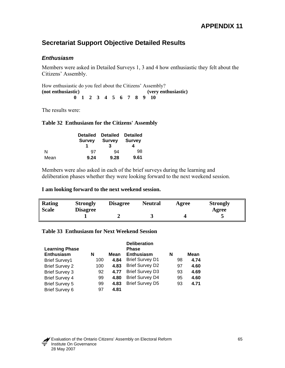# **Secretariat Support Objective Detailed Results**

### *Enthusiasm*

Members were asked in Detailed Surveys 1, 3 and 4 how enthusiastic they felt about the Citizens' Assembly.

How enthusiastic do you feel about the Citizens' Assembly? **(not enthusiastic) (very enthusiastic) 0 1 2 3 4 5 6 7 8 9 10** 

The results were:

#### **Table 32 Enthusiasm for the Citizens' Assembly**

|      | <b>Survey</b> | <b>Detailed Detailed</b><br><b>Survey</b> | Detailed<br><b>Survey</b> |  |
|------|---------------|-------------------------------------------|---------------------------|--|
| N    | 97            | 94                                        | 98                        |  |
| Mean | 9.24          | 9.28                                      | 9.61                      |  |

Members were also asked in each of the brief surveys during the learning and deliberation phases whether they were looking forward to the next weekend session.

#### **I am looking forward to the next weekend session.**

| Rating<br><b>Scale</b> | <b>Strongly</b><br><b>Disagree</b> | <b>Disagree</b> | <b>Neutral</b> | Agree | <b>Strongly</b><br>Agree |
|------------------------|------------------------------------|-----------------|----------------|-------|--------------------------|
|                        |                                    |                 |                |       |                          |

#### **Table 33 Enthusiasm for Next Weekend Session**

| <b>Learning Phase</b> |     |      | <b>Deliberation</b><br><b>Phase</b> |    |      |
|-----------------------|-----|------|-------------------------------------|----|------|
| <b>Enthusiasm</b>     | N   | Mean | <b>Enthusiasm</b>                   | N  | Mean |
| <b>Brief Survey1</b>  | 100 | 4.84 | <b>Brief Survey D1</b>              | 98 | 4.74 |
| <b>Brief Survey 2</b> | 100 | 4.83 | <b>Brief Survey D2</b>              | 97 | 4.60 |
| <b>Brief Survey 3</b> | 92  | 4.77 | <b>Brief Survey D3</b>              | 93 | 4.69 |
| <b>Brief Survey 4</b> | 99  | 4.80 | <b>Brief Survey D4</b>              | 95 | 4.60 |
| <b>Brief Survey 5</b> | 99  | 4.83 | <b>Brief Survey D5</b>              | 93 | 4.71 |
| Brief Survey 6        | 97  | 4.81 |                                     |    |      |

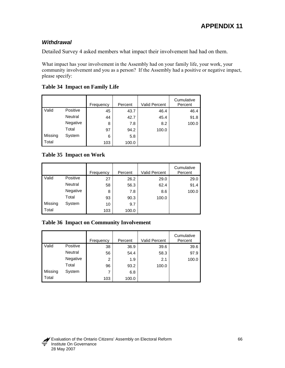## *Withdrawal*

Detailed Survey 4 asked members what impact their involvement had had on them.

What impact has your involvement in the Assembly had on your family life, your work, your community involvement and you as a person? If the Assembly had a positive or negative impact, please specify:

|         |                | Frequency | Percent | <b>Valid Percent</b> | Cumulative<br>Percent |
|---------|----------------|-----------|---------|----------------------|-----------------------|
| Valid   | Positive       | 45        | 43.7    | 46.4                 | 46.4                  |
|         | <b>Neutral</b> | 44        | 42.7    | 45.4                 | 91.8                  |
|         | Negative       | 8         | 7.8     | 8.2                  | 100.0                 |
|         | Total          | 97        | 94.2    | 100.0                |                       |
| Missing | System         | 6         | 5.8     |                      |                       |
| Total   |                | 103       | 100.0   |                      |                       |

## **Table 34 Impact on Family Life**

## **Table 35 Impact on Work**

|         |                | Frequency | Percent | <b>Valid Percent</b> | Cumulative<br>Percent |
|---------|----------------|-----------|---------|----------------------|-----------------------|
| Valid   | Positive       | 27        | 26.2    | 29.0                 | 29.0                  |
|         | <b>Neutral</b> | 58        | 56.3    | 62.4                 | 91.4                  |
|         | Negative       | 8         | 7.8     | 8.6                  | 100.0                 |
|         | Total          | 93        | 90.3    | 100.0                |                       |
| Missing | System         | 10        | 9.7     |                      |                       |
| Total   |                | 103       | 100.0   |                      |                       |

## **Table 36 Impact on Community Involvement**

|         |                | Frequency | Percent | <b>Valid Percent</b> | Cumulative<br>Percent |
|---------|----------------|-----------|---------|----------------------|-----------------------|
| Valid   | Positive       | 38        | 36.9    | 39.6                 | 39.6                  |
|         | <b>Neutral</b> | 56        | 54.4    | 58.3                 | 97.9                  |
|         | Negative       | 2         | 1.9     | 2.1                  | 100.0                 |
|         | Total          | 96        | 93.2    | 100.0                |                       |
| Missing | System         | 7         | 6.8     |                      |                       |
| Total   |                | 103       | 100.0   |                      |                       |

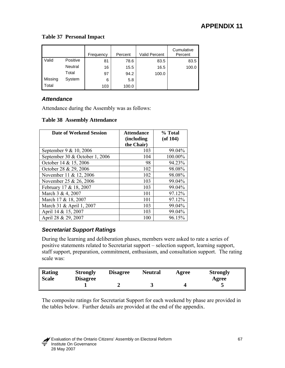#### **Table 37 Personal Impact**

|         |          | Frequency | Percent | <b>Valid Percent</b> | Cumulative<br>Percent |
|---------|----------|-----------|---------|----------------------|-----------------------|
| Valid   | Positive | 81        | 78.6    | 83.5                 | 83.5                  |
|         | Neutral  | 16        | 15.5    | 16.5                 | 100.0                 |
|         | Total    | 97        | 94.2    | 100.0                |                       |
| Missing | System   | 6         | 5.8     |                      |                       |
| Total   |          | 103       | 100.0   |                      |                       |

## *Attendance*

Attendance during the Assembly was as follows:

#### **Table 38 Assembly Attendance**

| Date of Weekend Session        | <b>Attendance</b><br><i>(including)</i><br>the Chair) | % Total<br>$($ of 104 $)$ |
|--------------------------------|-------------------------------------------------------|---------------------------|
| September 9 & 10, 2006         | 103                                                   | 99.04%                    |
| September 30 & October 1, 2006 | 104                                                   | 100.00%                   |
| October 14 & 15, 2006          | 98                                                    | 94.23%                    |
| October 28 & 29, 2006          | 102                                                   | 98.08%                    |
| November 11 & 12, 2006         | 102                                                   | 98.08%                    |
| November 25 & 26, 2006         | 103                                                   | 99.04%                    |
| February 17 & 18, 2007         | 103                                                   | 99.04%                    |
| March 3 & 4, 2007              | 101                                                   | 97.12%                    |
| March 17 & 18, 2007            | 101                                                   | 97.12%                    |
| March 31 & April 1, 2007       | 103                                                   | 99.04%                    |
| April 14 & 15, 2007            | 103                                                   | 99.04%                    |
| April 28 & 29, 2007            | 100                                                   | 96.15%                    |

## *Secretariat Support Ratings*

During the learning and deliberation phases, members were asked to rate a series of positive statements related to Secretariat support – selection support, learning support, staff support, preparation, commitment, enthusiasm, and consultation support. The rating scale was:

| <b>Rating</b><br>Scale | <b>Strongly</b><br><b>Disagree</b> | <b>Disagree</b> | <b>Neutral</b> | Agree | <b>Strongly</b><br>Agree |
|------------------------|------------------------------------|-----------------|----------------|-------|--------------------------|
|                        |                                    |                 |                |       |                          |

The composite ratings for Secretariat Support for each weekend by phase are provided in the tables below. Further details are provided at the end of the appendix.

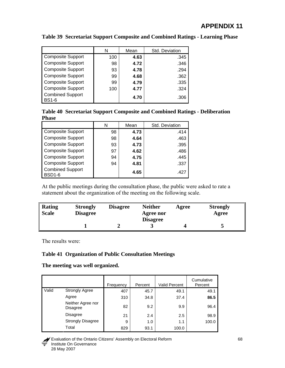|                                         | N   | Mean | Std. Deviation |
|-----------------------------------------|-----|------|----------------|
| <b>Composite Support</b>                | 100 | 4.63 | .345           |
| <b>Composite Support</b>                | 98  | 4.72 | .346           |
| <b>Composite Support</b>                | 93  | 4.78 | .294           |
| <b>Composite Support</b>                | 99  | 4.68 | .362           |
| <b>Composite Support</b>                | 99  | 4.79 | .335           |
| <b>Composite Support</b>                | 100 | 4.77 | .324           |
| <b>Combined Support</b><br><b>BS1-6</b> |     | 4.70 | .306           |

## **Table 39 Secretariat Support Composite and Combined Ratings - Learning Phase**

**Table 40 Secretariat Support Composite and Combined Ratings - Deliberation Phase**

|                                          | N  | Mean | Std. Deviation |
|------------------------------------------|----|------|----------------|
| <b>Composite Support</b>                 | 98 | 4.73 | .414           |
| <b>Composite Support</b>                 | 98 | 4.64 | .463           |
| <b>Composite Support</b>                 | 93 | 4.73 | .395           |
| <b>Composite Support</b>                 | 97 | 4.62 | .486           |
| <b>Composite Support</b>                 | 94 | 4.75 | .445           |
| <b>Composite Support</b>                 | 94 | 4.81 | .337           |
| <b>Combined Support</b><br><b>BSD1-6</b> |    | 4.65 | .427           |

At the public meetings during the consultation phase, the public were asked to rate a statement about the organization of the meeting on the following scale.

| Rating<br><b>Scale</b> | <b>Strongly</b><br><b>Disagree</b> | <b>Disagree</b> | <b>Neither</b><br>Agree nor | Agree | <b>Strongly</b><br>Agree |
|------------------------|------------------------------------|-----------------|-----------------------------|-------|--------------------------|
|                        |                                    |                 | <b>Disagree</b>             |       |                          |

The results were:

## **Table 41 Organization of Public Consultation Meetings**

**The meeting was well organized.** 

|       |                               | Frequency | Percent | Valid Percent | Cumulative<br>Percent |
|-------|-------------------------------|-----------|---------|---------------|-----------------------|
| Valid | <b>Strongly Agree</b>         | 407       | 45.7    | 49.1          | 49.1                  |
|       | Agree                         | 310       | 34.8    | 37.4          | 86.5                  |
|       | Neither Agree nor<br>Disagree | 82        | 9.2     | 9.9           | 96.4                  |
|       | Disagree                      | 21        | 2.4     | 2.5           | 98.9                  |
|       | <b>Strongly Disagree</b>      | 9         | 1.0     | 1.1           | 100.0                 |
|       | Total                         | 829       | 93.1    | 100.0         |                       |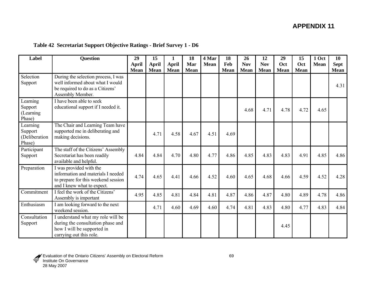|  |  | Table 42 Secretariat Support Objective Ratings - Brief Survey 1 - D6 |  |
|--|--|----------------------------------------------------------------------|--|
|  |  |                                                                      |  |

| Label                                          | <b>Question</b>                                                                                                                    | 29                   | 15                          | 1                           | 18                 | 4 Mar       | 18                 | 26                        | 12                        | 29                 | 15                 | 1 Oct       | 10                         |
|------------------------------------------------|------------------------------------------------------------------------------------------------------------------------------------|----------------------|-----------------------------|-----------------------------|--------------------|-------------|--------------------|---------------------------|---------------------------|--------------------|--------------------|-------------|----------------------------|
|                                                |                                                                                                                                    | April<br><b>Mean</b> | <b>April</b><br><b>Mean</b> | <b>April</b><br><b>Mean</b> | Mar<br><b>Mean</b> | <b>Mean</b> | Feb<br><b>Mean</b> | <b>Nov</b><br><b>Mean</b> | <b>Nov</b><br><b>Mean</b> | Oct<br><b>Mean</b> | Oct<br><b>Mean</b> | <b>Mean</b> | <b>Sept</b><br><b>Mean</b> |
| Selection<br>Support                           | During the selection process, I was<br>well informed about what I would<br>be required to do as a Citizens'<br>Assembly Member.    |                      |                             |                             |                    |             |                    |                           |                           |                    |                    |             | 4.31                       |
| Learning<br>Support<br>(Learning)<br>Phase)    | I have been able to seek<br>educational support if I needed it.                                                                    |                      |                             |                             |                    |             |                    | 4.68                      | 4.71                      | 4.78               | 4.72               | 4.65        |                            |
| Learning<br>Support<br>(Deliberation<br>Phase) | The Chair and Learning Team have<br>supported me in deliberating and<br>making decisions.                                          |                      | 4.71                        | 4.58                        | 4.67               | 4.51        | 4.69               |                           |                           |                    |                    |             |                            |
| Participant<br>Support                         | The staff of the Citizens' Assembly<br>Secretariat has been readily<br>available and helpful.                                      | 4.84                 | 4.84                        | 4.70                        | 4.80               | 4.77        | 4.86               | 4.85                      | 4.83                      | 4.83               | 4.91               | 4.85        | 4.86                       |
| Preparation                                    | I was provided with the<br>information and materials I needed<br>to prepare for this weekend session<br>and I knew what to expect. | 4.74                 | 4.65                        | 4.41                        | 4.66               | 4.52        | 4.60               | 4.65                      | 4.68                      | 4.66               | 4.59               | 4.52        | 4.28                       |
| Commitment                                     | I feel the work of the Citizens'<br>Assembly is important                                                                          | 4.95                 | 4.85                        | 4.81                        | 4.84               | 4.81        | 4.87               | 4.86                      | 4.87                      | 4.80               | 4.89               | 4.78        | 4.86                       |
| Enthusiasm                                     | I am looking forward to the next<br>weekend session.                                                                               |                      | 4.71                        | 4.60                        | 4.69               | 4.60        | 4.74               | 4.81                      | 4.83                      | 4.80               | 4.77               | 4.83        | 4.84                       |
| Consultation<br>Support                        | I understand what my role will be<br>during the consultation phase and<br>how I will be supported in<br>carrying out this role.    |                      |                             |                             |                    |             |                    |                           |                           | 4.45               |                    |             |                            |

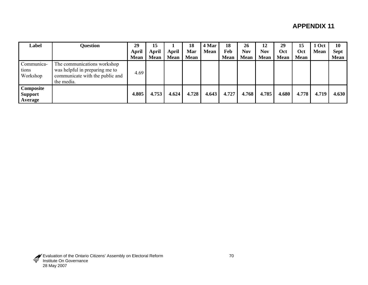| Label                                  | <b>Question</b>                                                                                                | 29<br>April<br><b>Mean</b> | 15<br>April<br><b>Mean</b> | April<br><b>Mean</b> | 18<br>Mar<br><b>Mean</b> | 4 Mar<br><b>Mean</b> | 18<br>Feb<br><b>Mean</b> | 26<br><b>Nov</b><br><b>Mean</b> | 12<br>Nov<br><b>Mean</b> | 29<br>Oct<br><b>Mean</b> | 15<br><b>Oct</b><br><b>Mean</b> | 1 Oct<br><b>Mean</b> | 10<br><b>Sept</b><br><b>Mean</b> |
|----------------------------------------|----------------------------------------------------------------------------------------------------------------|----------------------------|----------------------------|----------------------|--------------------------|----------------------|--------------------------|---------------------------------|--------------------------|--------------------------|---------------------------------|----------------------|----------------------------------|
| Communica-<br>tions<br>Workshop        | The communications workshop<br>was helpful in preparing me to<br>communicate with the public and<br>the media. | 4.69                       |                            |                      |                          |                      |                          |                                 |                          |                          |                                 |                      |                                  |
| Composite<br><b>Support</b><br>Average |                                                                                                                | 4.805                      | 4.753                      | 4.624                | 4.728                    | 4.643                | 4.727                    | 4.768                           | 4.785                    | 4.680                    | 4.778                           | 4.719                | 4.630                            |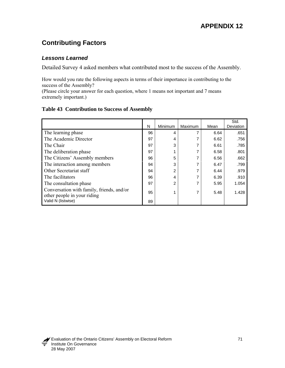# **Contributing Factors**

## *Lessons Learned*

Detailed Survey 4 asked members what contributed most to the success of the Assembly.

How would you rate the following aspects in terms of their importance in contributing to the success of the Assembly?

(Please circle your answer for each question, where 1 means not important and 7 means extremely important.)

## **Table 43 Contribution to Success of Assembly**

|                                                                          | N  | Minimum | Maximum | Mean | Std.<br>Deviation |
|--------------------------------------------------------------------------|----|---------|---------|------|-------------------|
| The learning phase                                                       | 96 | 4       |         | 6.64 | .651              |
| The Academic Director                                                    | 97 | 4       |         | 6.62 | .756              |
| The Chair                                                                | 97 | 3       |         | 6.61 | .785              |
| The deliberation phase                                                   | 97 |         |         | 6.58 | .801              |
| The Citizens' Assembly members                                           | 96 | 5       |         | 6.56 | .662              |
| The interaction among members                                            | 94 | 3       |         | 6.47 | .799              |
| Other Secretariat staff                                                  | 94 | 2       |         | 6.44 | .979              |
| The facilitators                                                         | 96 | 4       |         | 6.39 | .910              |
| The consultation phase                                                   | 97 | 2       |         | 5.95 | 1.054             |
| Conversation with family, friends, and/or<br>other people in your riding | 95 |         |         | 5.48 | 1.428             |
| Valid N (listwise)                                                       | 89 |         |         |      |                   |